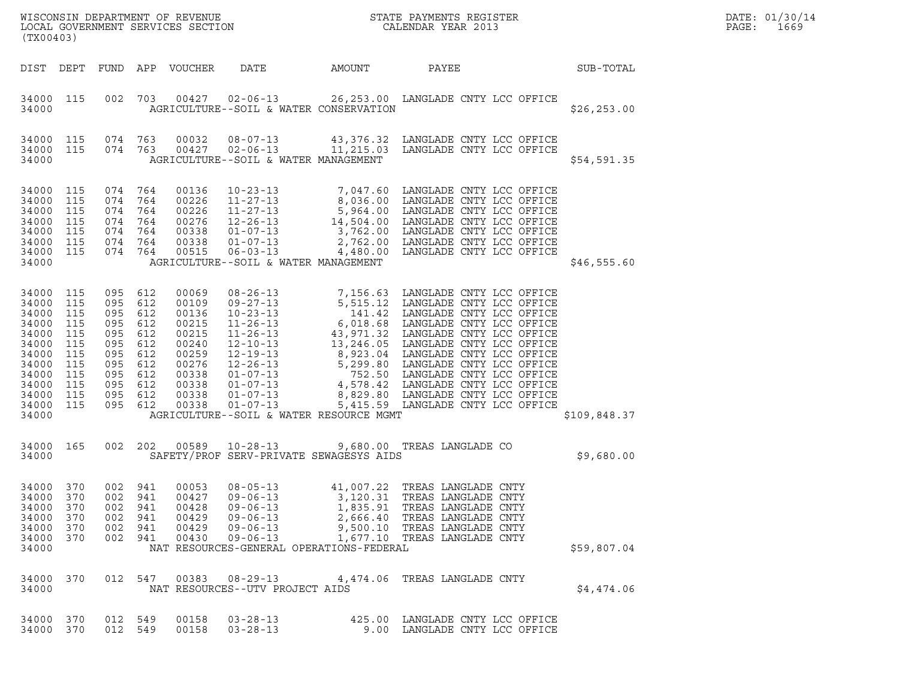| (TX00403)                                                                                                             |                                                                           |                                                                                                  |                                                      | LOCAL GOVERNMENT SERVICES SECTION                                                                        |                                                                                                          |                                                      | $\tt WISCONSIM DEPARTMENT OF REVENUE$ $\tt WISCONSIM EN THE BAYMENTS REGISTERLOCAL GOVERNMENT SERVICES SECTION CALENDAR YEAR 2013$                                                                                                                                                      |              | DATE: 01/30/14<br>PAGE:<br>1669 |
|-----------------------------------------------------------------------------------------------------------------------|---------------------------------------------------------------------------|--------------------------------------------------------------------------------------------------|------------------------------------------------------|----------------------------------------------------------------------------------------------------------|----------------------------------------------------------------------------------------------------------|------------------------------------------------------|-----------------------------------------------------------------------------------------------------------------------------------------------------------------------------------------------------------------------------------------------------------------------------------------|--------------|---------------------------------|
|                                                                                                                       |                                                                           |                                                                                                  |                                                      | DIST DEPT FUND APP VOUCHER                                                                               | DATE                                                                                                     | AMOUNT                                               | PAYEE<br><b>SUB-TOTAL</b>                                                                                                                                                                                                                                                               |              |                                 |
| 34000 115<br>34000                                                                                                    |                                                                           |                                                                                                  |                                                      |                                                                                                          |                                                                                                          | AGRICULTURE--SOIL & WATER CONSERVATION               | 002 703 00427 02-06-13 26,253.00 LANGLADE CNTY LCC OFFICE                                                                                                                                                                                                                               | \$26, 253.00 |                                 |
| 34000 115<br>34000 115<br>34000                                                                                       |                                                                           | 074 763<br>074 763                                                                               |                                                      | 00032                                                                                                    | AGRICULTURE--SOIL & WATER MANAGEMENT                                                                     |                                                      | 08-07-13 43,376.32 LANGLADE CNTY LCC OFFICE<br>00427  02-06-13  11,215.03  LANGLADE CNTY LCC OFFICE                                                                                                                                                                                     | \$54,591.35  |                                 |
| 34000 115<br>34000<br>34000<br>34000<br>34000<br>34000<br>34000<br>34000                                              | 115<br>115<br>115<br>115<br>115<br>115                                    | 074 764<br>074 764<br>074 764<br>074 764<br>074 764<br>074 764<br>074 764                        |                                                      | 00136<br>00226<br>00226<br>00276<br>00338<br>00338<br>00515                                              | $06 - 03 - 13$<br>AGRICULTURE--SOIL & WATER MANAGEMENT                                                   |                                                      | 10-23-13<br>11-27-13<br>3,036.00 LANGLADE CNTY LCC OFFICE<br>11-27-13<br>5,964.00 LANGLADE CNTY LCC OFFICE<br>12-26-13<br>14,504.00 LANGLADE CNTY LCC OFFICE<br>01-07-13<br>2,762.00 LANGLADE CNTY LCC OFFICE<br>01-07-13<br>2,762.00 LANGLADE CNT<br>4,480.00 LANGLADE CNTY LCC OFFICE | \$46,555.60  |                                 |
| 34000 115<br>34000<br>34000<br>34000<br>34000<br>34000<br>34000<br>34000<br>34000<br>34000<br>34000<br>34000<br>34000 | 115<br>115<br>115<br>115<br>115<br>115<br>115<br>115<br>115<br>115<br>115 | 095 612<br>095 612<br>095<br>095<br>095<br>095<br>095<br>095<br>095<br>095 612<br>095<br>095 612 | 612<br>612<br>612<br>612<br>612<br>612<br>612<br>612 | 00069<br>00109<br>00136<br>00215<br>00215<br>00240<br>00259<br>00276<br>00338<br>00338<br>00338<br>00338 | $01 - 07 - 13$                                                                                           | AGRICULTURE--SOIL & WATER RESOURCE MGMT              | 08-26-13<br>09-27-13<br>5,515.12 LANGLADE CNTY LCC OFFICE<br>10-23-13<br>141.42 LANGLADE CNTY LCC OFFICE<br>11-26-13<br>6,018.68 LANGLADE CNTY LCC OFFICE<br>11-26-13<br>43,971.32 LANGLADE CNTY LCC OFFICE<br>12-10-13<br>13,246.05 LANGLADE CNTY<br>5,415.59 LANGLADE CNTY LCC OFFICE | \$109,848.37 |                                 |
| 34000 165<br>34000                                                                                                    |                                                                           | 002 202                                                                                          |                                                      | 00589                                                                                                    |                                                                                                          | SAFETY/PROF SERV-PRIVATE SEWAGESYS AIDS              | 10-28-13 9,680.00 TREAS LANGLADE CO                                                                                                                                                                                                                                                     | \$9,680.00   |                                 |
| 34000 370<br>34000<br>34000<br>34000<br>34000<br>34000<br>34000                                                       | 370<br>370<br>370<br>370<br>370                                           | 002 941<br>002<br>002 941<br>002 941<br>002 941<br>002 941                                       | 941                                                  | 00053<br>00427<br>00428<br>00429<br>00429<br>00430                                                       | $08 - 05 - 13$<br>$09 - 06 - 13$<br>$09 - 06 - 13$<br>$09 - 06 - 13$<br>$09 - 06 - 13$<br>$09 - 06 - 13$ | 3,120.31<br>NAT RESOURCES-GENERAL OPERATIONS-FEDERAL | 41,007.22 TREAS LANGLADE CNTY<br>TREAS LANGLADE CNTY<br>1,835.91 TREAS LANGLADE CNTY<br>2,666.40 TREAS LANGLADE CNTY<br>9,500.10 TREAS LANGLADE CNTY<br>1,677.10 TREAS LANGLADE CNTY                                                                                                    | \$59,807.04  |                                 |
| 34000 370<br>34000                                                                                                    |                                                                           |                                                                                                  | 012 547                                              |                                                                                                          | 00383 08-29-13<br>NAT RESOURCES--UTV PROJECT AIDS                                                        |                                                      | 4,474.06 TREAS LANGLADE CNTY                                                                                                                                                                                                                                                            | \$4,474.06   |                                 |
| 34000 370<br>34000 370                                                                                                |                                                                           | 012 549<br>012 549                                                                               |                                                      | 00158<br>00158                                                                                           | $03 - 28 - 13$<br>$03 - 28 - 13$                                                                         |                                                      | 425.00 LANGLADE CNTY LCC OFFICE<br>9.00 LANGLADE CNTY LCC OFFICE                                                                                                                                                                                                                        |              |                                 |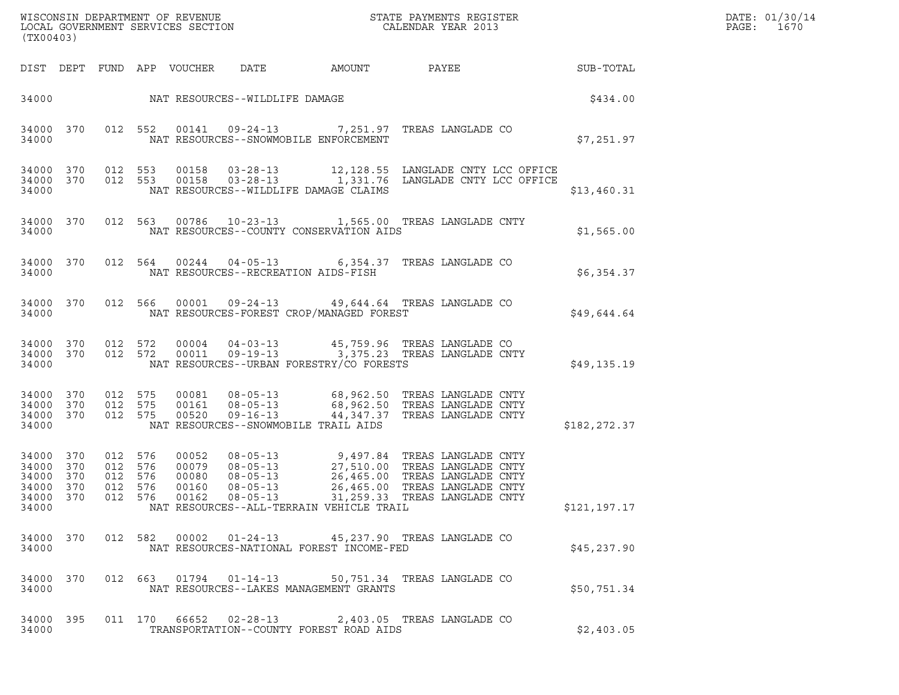| DATE: | 01/30/14 |
|-------|----------|
| PAGE: | 1670     |

| (TX00403)                                     |                                |                                          |         |                                  |                                      |                                          | ${\tt WISCOONSIM\ DEPARTMENT\ OF\ REVENUE}\ {\tt LOCALENDAR\ VERA}$ LOCAL GOVERNMENT SERVICES SECTION ${\tt LOCALENDAR\ VERAR\ 2013}$                                                                                        |              | DATE: 01/30/14<br>PAGE:<br>1670 |
|-----------------------------------------------|--------------------------------|------------------------------------------|---------|----------------------------------|--------------------------------------|------------------------------------------|------------------------------------------------------------------------------------------------------------------------------------------------------------------------------------------------------------------------------|--------------|---------------------------------|
|                                               |                                |                                          |         | DIST DEPT FUND APP VOUCHER       | DATE                                 |                                          | AMOUNT PAYEE SUB-TOTAL                                                                                                                                                                                                       |              |                                 |
|                                               |                                |                                          |         |                                  | 34000 NAT RESOURCES--WILDLIFE DAMAGE |                                          |                                                                                                                                                                                                                              | \$434.00     |                                 |
| 34000                                         | 34000 370                      |                                          |         |                                  |                                      | NAT RESOURCES--SNOWMOBILE ENFORCEMENT    | 012 552 00141 09-24-13 7,251.97 TREAS LANGLADE CO                                                                                                                                                                            | \$7,251.97   |                                 |
| 34000 370<br>34000 370<br>34000               |                                |                                          | 012 553 | 00158                            |                                      | NAT RESOURCES--WILDLIFE DAMAGE CLAIMS    | 03-28-13 12,128.55 LANGLADE CNTY LCC OFFICE<br>012 553 00158 03-28-13 1,331.76 LANGLADE CNTY LCC OFFICE                                                                                                                      | \$13,460.31  |                                 |
| 34000                                         | 34000 370                      |                                          |         |                                  |                                      | NAT RESOURCES--COUNTY CONSERVATION AIDS  | 012 563 00786 10-23-13 1,565.00 TREAS LANGLADE CNTY                                                                                                                                                                          | \$1,565.00   |                                 |
| 34000                                         | 34000 370                      |                                          |         |                                  | NAT RESOURCES--RECREATION AIDS-FISH  |                                          | 012 564 00244 04-05-13 6,354.37 TREAS LANGLADE CO                                                                                                                                                                            | \$6,354.37   |                                 |
| 34000                                         | 34000 370                      |                                          |         |                                  |                                      | NAT RESOURCES-FOREST CROP/MANAGED FOREST | 012 566 00001 09-24-13 49,644.64 TREAS LANGLADE CO                                                                                                                                                                           | \$49,644.64  |                                 |
| 34000                                         | 34000 370 012 572<br>34000 370 |                                          | 012 572 |                                  |                                      | NAT RESOURCES--URBAN FORESTRY/CO FORESTS | 00004     04-03-13                45,759.96   TREAS LANGLADE CO<br>00011    09-19-13                3,375.23   TREAS LANGLADE CNTY                                                                                           | \$49,135.19  |                                 |
| 34000 370<br>34000 370<br>34000<br>34000      | 370                            | 012 575<br>012 575<br>012 575            |         | 00520                            | 09-16-13                             | NAT RESOURCES--SNOWMOBILE TRAIL AIDS     | 00081  08-05-13   68,962.50 TREAS LANGLADE CNTY<br>00161   08-05-13   68,962.50 TREAS LANGLADE CNTY<br>44,347.37 TREAS LANGLADE CNTY                                                                                         | \$182,272.37 |                                 |
| 34000 370<br>34000<br>34000<br>34000<br>34000 | 370<br>370<br>370              | 012 576<br>012 576<br>012 576<br>012 576 |         | 00052<br>00079<br>00080<br>00160 | $08 - 05 - 13$                       | NAT RESOURCES--ALL-TERRAIN VEHICLE TRAIL | 08-05-13 9,497.84 TREAS LANGLADE CNTY<br>08-05-13 27,510.00 TREAS LANGLADE CNTY<br>08-05-13 26,465.00 TREAS LANGLADE CNTY<br>26,465.00 TREAS LANGLADE CNTY<br>34000 370 012 576 00162 08-05-13 31,259.33 TREAS LANGLADE CNTY | \$121,197.17 |                                 |
| 34000 370<br>34000                            |                                |                                          |         |                                  |                                      | NAT RESOURCES-NATIONAL FOREST INCOME-FED | 012 582 00002 01-24-13 45,237.90 TREAS LANGLADE CO                                                                                                                                                                           | \$45,237.90  |                                 |
| 34000 370<br>34000                            |                                |                                          |         |                                  |                                      | NAT RESOURCES--LAKES MANAGEMENT GRANTS   | 012  663  01794  01-14-13  50,751.34  TREAS LANGLADE CO                                                                                                                                                                      | \$50,751.34  |                                 |
| 34000 395<br>34000                            |                                |                                          |         |                                  |                                      | TRANSPORTATION--COUNTY FOREST ROAD AIDS  | 011 170 66652 02-28-13 2,403.05 TREAS LANGLADE CO                                                                                                                                                                            | \$2,403.05   |                                 |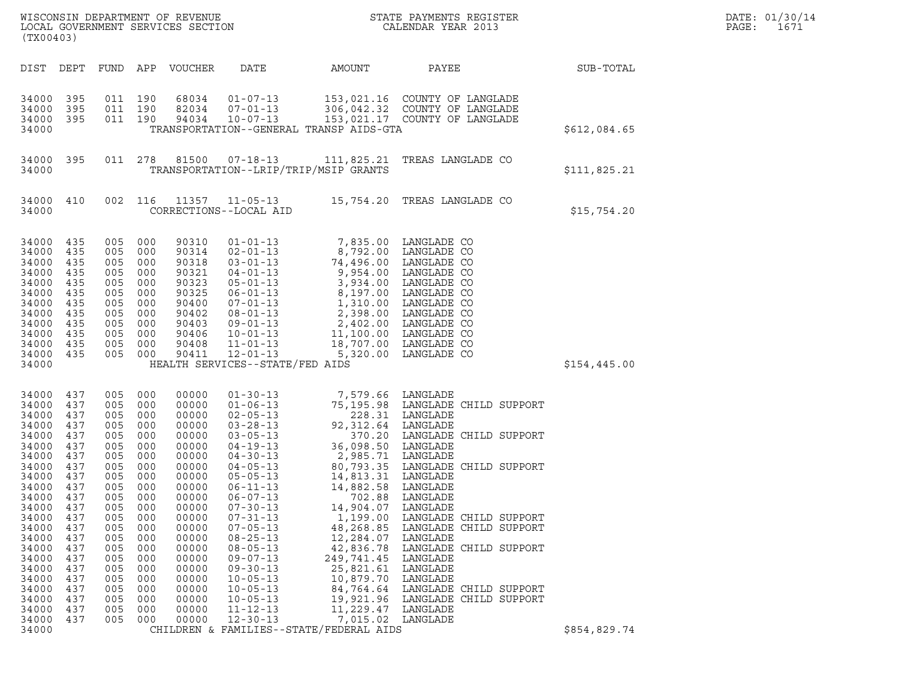| (TX00403)                                                                                                                                                                                                            |                                                                                                                                                               |                                                                                                                                                               |                                                                                                                                                               | WISCONSIN DEPARTMENT OF REVENUE<br>LOCAL GOVERNMENT SERVICES SECTION                                                                                                                                        | $\mathbf N$                                                                                                                                                                                                                                                                                                                                                                                                          |                                                                                                                                                                                                                                                                                                                                            | STATE PAYMENTS REGISTER<br>CALENDAR YEAR 2013                                                                                                                                                                                                                                                                                                            |              | DATE: 01/30/14<br>PAGE:<br>1671 |
|----------------------------------------------------------------------------------------------------------------------------------------------------------------------------------------------------------------------|---------------------------------------------------------------------------------------------------------------------------------------------------------------|---------------------------------------------------------------------------------------------------------------------------------------------------------------|---------------------------------------------------------------------------------------------------------------------------------------------------------------|-------------------------------------------------------------------------------------------------------------------------------------------------------------------------------------------------------------|----------------------------------------------------------------------------------------------------------------------------------------------------------------------------------------------------------------------------------------------------------------------------------------------------------------------------------------------------------------------------------------------------------------------|--------------------------------------------------------------------------------------------------------------------------------------------------------------------------------------------------------------------------------------------------------------------------------------------------------------------------------------------|----------------------------------------------------------------------------------------------------------------------------------------------------------------------------------------------------------------------------------------------------------------------------------------------------------------------------------------------------------|--------------|---------------------------------|
| DIST DEPT                                                                                                                                                                                                            |                                                                                                                                                               |                                                                                                                                                               |                                                                                                                                                               | FUND APP VOUCHER                                                                                                                                                                                            | DATE                                                                                                                                                                                                                                                                                                                                                                                                                 | AMOUNT                                                                                                                                                                                                                                                                                                                                     | PAYEE                                                                                                                                                                                                                                                                                                                                                    | SUB-TOTAL    |                                 |
| 34000<br>34000<br>34000<br>34000                                                                                                                                                                                     | 395<br>395<br>395                                                                                                                                             | 011 190<br>011 190<br>011 190                                                                                                                                 |                                                                                                                                                               | 68034<br>82034<br>94034                                                                                                                                                                                     | $01 - 07 - 13$<br>$07 - 01 - 13$<br>$10 - 07 - 13$                                                                                                                                                                                                                                                                                                                                                                   | TRANSPORTATION--GENERAL TRANSP AIDS-GTA                                                                                                                                                                                                                                                                                                    | 153,021.16 COUNTY OF LANGLADE<br>306,042.32 COUNTY OF LANGLADE<br>153,021.17 COUNTY OF LANGLADE                                                                                                                                                                                                                                                          | \$612,084.65 |                                 |
| 34000 395<br>34000                                                                                                                                                                                                   |                                                                                                                                                               |                                                                                                                                                               | 011 278                                                                                                                                                       | 81500                                                                                                                                                                                                       | $07 - 18 - 13$                                                                                                                                                                                                                                                                                                                                                                                                       | TRANSPORTATION--LRIP/TRIP/MSIP GRANTS                                                                                                                                                                                                                                                                                                      | 111,825.21 TREAS LANGLADE CO                                                                                                                                                                                                                                                                                                                             | \$111,825.21 |                                 |
| 34000 410<br>34000                                                                                                                                                                                                   |                                                                                                                                                               | 002 116                                                                                                                                                       |                                                                                                                                                               | 11357                                                                                                                                                                                                       | $11 - 05 - 13$<br>CORRECTIONS--LOCAL AID                                                                                                                                                                                                                                                                                                                                                                             |                                                                                                                                                                                                                                                                                                                                            | 15,754.20 TREAS LANGLADE CO                                                                                                                                                                                                                                                                                                                              | \$15,754.20  |                                 |
| 34000 435<br>34000<br>34000<br>34000<br>34000<br>34000<br>34000<br>34000<br>34000<br>34000<br>34000<br>34000<br>34000                                                                                                | 435<br>435<br>435<br>435<br>435<br>435<br>435<br>435<br>435<br>435<br>435                                                                                     | 005<br>005<br>005<br>005<br>005<br>005<br>005<br>005<br>005 000<br>005<br>005 000                                                                             | 000<br>000<br>000<br>000<br>000<br>000<br>000<br>000<br>000<br>005 000                                                                                        | 90310<br>90314<br>90318<br>90321<br>90323<br>90325<br>90400<br>90402<br>90403<br>90406<br>90408<br>90411                                                                                                    | $01 - 01 - 13$<br>$02 - 01 - 13$<br>$03 - 01 - 13$<br>$04 - 01 - 13$<br>$05 - 01 - 13$<br>$06 - 01 - 13$<br>$07 - 01 - 13$<br>$08 - 01 - 13$<br>$09 - 01 - 13$<br>$10 - 01 - 13$<br>$11 - 01 - 13$<br>$12 - 01 - 13$<br>HEALTH SERVICES--STATE/FED AIDS                                                                                                                                                              | 8,792.00<br>9,954.00<br>8,197.00 LANGLADE CO<br>1,310.00 LANGLADE CO<br>2,398.00 LANGLADE CO<br>11,100.00<br>5,320.00                                                                                                                                                                                                                      | 7,835.00 LANGLADE CO<br>LANGLADE CO<br>74,496.00 LANGLADE CO<br>LANGLADE CO<br>3,934.00 LANGLADE CO<br>2,402.00 LANGLADE CO<br>LANGLADE CO<br>18,707.00 LANGLADE CO<br>LANGLADE CO                                                                                                                                                                       | \$154,445.00 |                                 |
| 34000<br>34000<br>34000<br>34000<br>34000<br>34000<br>34000<br>34000<br>34000<br>34000<br>34000<br>34000<br>34000<br>34000<br>34000<br>34000<br>34000<br>34000<br>34000<br>34000<br>34000<br>34000<br>34000<br>34000 | 437<br>437<br>437<br>437<br>437<br>437<br>437<br>437<br>437<br>437<br>437<br>437<br>437<br>437<br>437<br>437<br>437<br>437<br>437<br>437<br>437<br>437<br>437 | 005<br>005<br>005<br>005<br>005<br>005<br>005<br>005<br>005<br>005<br>005<br>005<br>005<br>005<br>005<br>005<br>005<br>005<br>005<br>005<br>005<br>005<br>005 | 000<br>000<br>000<br>000<br>000<br>000<br>000<br>000<br>000<br>000<br>000<br>000<br>000<br>000<br>000<br>000<br>000<br>000<br>000<br>000<br>000<br>000<br>000 | 00000<br>00000<br>00000<br>00000<br>00000<br>00000<br>00000<br>00000<br>00000<br>00000<br>00000<br>00000<br>00000<br>00000<br>00000<br>00000<br>00000<br>00000<br>00000<br>00000<br>00000<br>00000<br>00000 | $01 - 30 - 13$<br>$01 - 06 - 13$<br>$02 - 05 - 13$<br>$03 - 28 - 13$<br>$03 - 05 - 13$<br>04-19-13<br>$04 - 30 - 13$<br>$04 - 05 - 13$<br>$05 - 05 - 13$<br>$06 - 11 - 13$<br>$06 - 07 - 13$<br>$07 - 30 - 13$<br>$07 - 31 - 13$<br>$07 - 05 - 13$<br>$08 - 25 - 13$<br>$08 - 05 - 13$<br>$09 - 07 - 13$<br>$09 - 30 - 13$<br>$10 - 05 - 13$<br>$10 - 05 - 13$<br>$10 - 05 - 13$<br>$11 - 12 - 13$<br>$12 - 30 - 13$ | 7,579.66 LANGLADE<br>92,312.64 LANGLADE<br>36,098.50 LANGLADE<br>2,985.71 LANGLADE<br>14,813.31 LANGLADE<br>14,882.58<br>702.88<br>14,904.07<br>1,199.00<br>48,268.85<br>12,284.07<br>42,836.78<br>249,741.45<br>25,821.61<br>10,879.70<br>19,921.96<br>11,229.47 LANGLADE<br>7,015.02 LANGLADE<br>CHILDREN & FAMILIES--STATE/FEDERAL AIDS | 75,195.98 LANGLADE CHILD SUPPORT<br>228.31 LANGLADE<br>370.20 LANGLADE CHILD SUPPORT<br>80,793.35 LANGLADE CHILD SUPPORT<br>LANGLADE<br>LANGLADE<br>LANGLADE<br>LANGLADE CHILD SUPPORT<br>LANGLADE CHILD SUPPORT<br>LANGLADE<br>LANGLADE CHILD SUPPORT<br>LANGLADE<br>LANGLADE<br>LANGLADE<br>84,764.64 LANGLADE CHILD SUPPORT<br>LANGLADE CHILD SUPPORT | \$854,829.74 |                                 |
|                                                                                                                                                                                                                      |                                                                                                                                                               |                                                                                                                                                               |                                                                                                                                                               |                                                                                                                                                                                                             |                                                                                                                                                                                                                                                                                                                                                                                                                      |                                                                                                                                                                                                                                                                                                                                            |                                                                                                                                                                                                                                                                                                                                                          |              |                                 |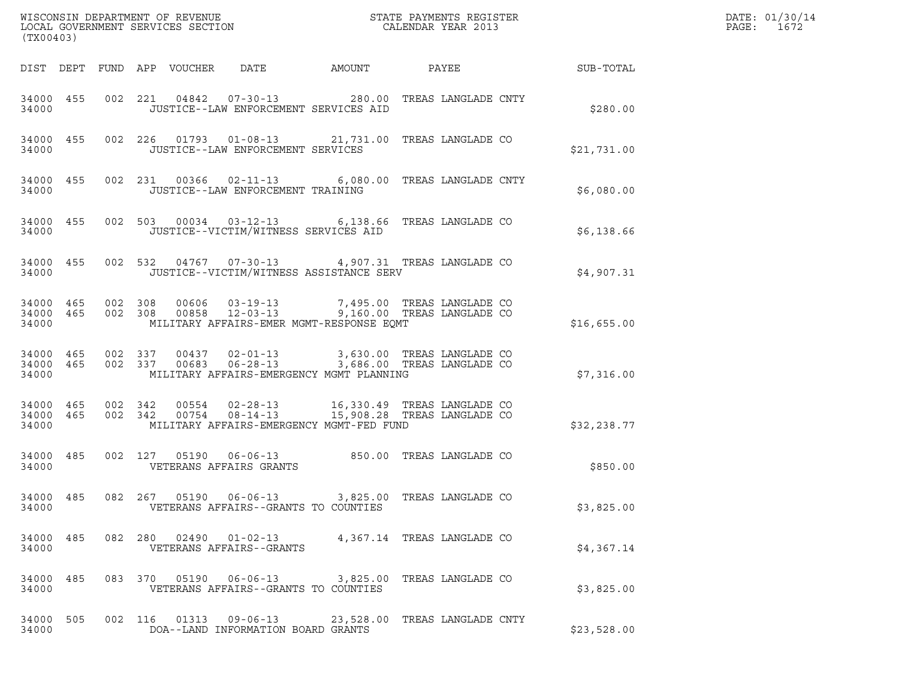| (TX00403)          |  |  |                                      |                                          |                                                                                                                                                                                                   |             | DATE: 01/30/14<br>PAGE: 1672 |
|--------------------|--|--|--------------------------------------|------------------------------------------|---------------------------------------------------------------------------------------------------------------------------------------------------------------------------------------------------|-------------|------------------------------|
|                    |  |  |                                      |                                          | DIST DEPT FUND APP VOUCHER DATE AMOUNT PAYEE SUB-TOTAL                                                                                                                                            |             |                              |
| 34000              |  |  |                                      | JUSTICE--LAW ENFORCEMENT SERVICES AID    | 34000 455 002 221 04842 07-30-13 280.00 TREAS LANGLADE CNTY                                                                                                                                       | \$280.00    |                              |
| 34000              |  |  | JUSTICE--LAW ENFORCEMENT SERVICES    |                                          | 34000 455 002 226 01793 01-08-13 21,731.00 TREAS LANGLADE CO                                                                                                                                      | \$21,731.00 |                              |
| 34000              |  |  | JUSTICE--LAW ENFORCEMENT TRAINING    |                                          | 34000 455 002 231 00366 02-11-13 6,080.00 TREAS LANGLADE CNTY                                                                                                                                     | \$6,080.00  |                              |
| 34000              |  |  | JUSTICE--VICTIM/WITNESS SERVICES AID |                                          | 34000 455 002 503 00034 03-12-13 6,138.66 TREAS LANGLADE CO                                                                                                                                       | \$6,138.66  |                              |
| 34000              |  |  |                                      | JUSTICE--VICTIM/WITNESS ASSISTANCE SERV  | 34000 455 002 532 04767 07-30-13 4,907.31 TREAS LANGLADE CO                                                                                                                                       | \$4,907.31  |                              |
| 34000              |  |  |                                      | MILITARY AFFAIRS-EMER MGMT-RESPONSE EQMT | 34000 465 002 308 00606 03-19-13 7,495.00 TREAS LANGLADE CO<br>34000 465 002 308 00858 12-03-13 9,160.00 TREAS LANGLADE CO                                                                        | \$16,655.00 |                              |
| 34000              |  |  |                                      | MILITARY AFFAIRS-EMERGENCY MGMT PLANNING | $34000$ $465$ $002$ $337$ $00437$ $02-01-13$ $3,630.00$ TREAS LANGLADE CO<br>$34000$ $465$ $002$ $337$ $00683$ $06-28-13$ $3,686.00$ TREAS LANGLADE CO                                            | \$7,316.00  |                              |
| 34000 465<br>34000 |  |  |                                      | MILITARY AFFAIRS-EMERGENCY MGMT-FED FUND | $\begin{tabular}{lcccccc} 34000 & 465 & 002 & 342 & 00554 & 02-28-13 & 16,330.49 & TREAS LANGLADE CO \\ 34000 & 465 & 002 & 342 & 00754 & 08-14-13 & 15,908.28 & TREAS LANGLADE CO \end{tabular}$ | \$32,238.77 |                              |
| 34000              |  |  | VETERANS AFFAIRS GRANTS              |                                          | 34000 485 002 127 05190 06-06-13 850.00 TREAS LANGLADE CO                                                                                                                                         | \$850.00    |                              |
| 34000              |  |  | VETERANS AFFAIRS--GRANTS TO COUNTIES |                                          | 34000 485 082 267 05190 06-06-13 3,825.00 TREAS LANGLADE CO                                                                                                                                       | \$3,825.00  |                              |
| 34000 485<br>34000 |  |  | VETERANS AFFAIRS--GRANTS             |                                          | 082  280  02490  01-02-13  4,367.14  TREAS LANGLADE CO                                                                                                                                            | \$4,367.14  |                              |
| 34000 485<br>34000 |  |  | VETERANS AFFAIRS--GRANTS TO COUNTIES |                                          | 083 370 05190 06-06-13 3,825.00 TREAS LANGLADE CO                                                                                                                                                 | \$3,825.00  |                              |
| 34000 505<br>34000 |  |  | DOA--LAND INFORMATION BOARD GRANTS   |                                          | 002 116 01313 09-06-13 23,528.00 TREAS LANGLADE CNTY                                                                                                                                              | \$23,528.00 |                              |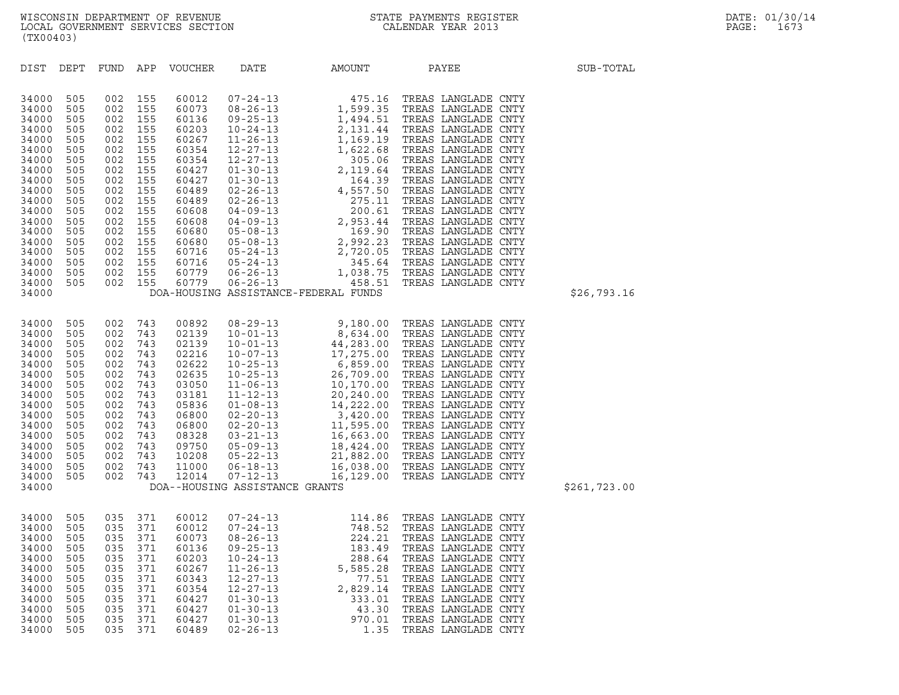| 34000                                                                                                    |                                                                                  |                                                                                  |                                                                                  |                                                                                                          | DOA--HOUSING ASSISTANCE GRANTS                                                                                                                                                                                       |                                                                                                                      |                                                                                                                                                                                                                                                                                  |  |
|----------------------------------------------------------------------------------------------------------|----------------------------------------------------------------------------------|----------------------------------------------------------------------------------|----------------------------------------------------------------------------------|----------------------------------------------------------------------------------------------------------|----------------------------------------------------------------------------------------------------------------------------------------------------------------------------------------------------------------------|----------------------------------------------------------------------------------------------------------------------|----------------------------------------------------------------------------------------------------------------------------------------------------------------------------------------------------------------------------------------------------------------------------------|--|
| 34000<br>34000<br>34000<br>34000<br>34000<br>34000<br>34000<br>34000<br>34000<br>34000<br>34000<br>34000 | 505<br>505<br>505<br>505<br>505<br>505<br>505<br>505<br>505<br>505<br>505<br>505 | 035<br>035<br>035<br>035<br>035<br>035<br>035<br>035<br>035<br>035<br>035<br>035 | 371<br>371<br>371<br>371<br>371<br>371<br>371<br>371<br>371<br>371<br>371<br>371 | 60012<br>60012<br>60073<br>60136<br>60203<br>60267<br>60343<br>60354<br>60427<br>60427<br>60427<br>60489 | $07 - 24 - 13$<br>$07 - 24 - 13$<br>$08 - 26 - 13$<br>$09 - 25 - 13$<br>$10 - 24 - 13$<br>$11 - 26 - 13$<br>$12 - 27 - 13$<br>$12 - 27 - 13$<br>$01 - 30 - 13$<br>$01 - 30 - 13$<br>$01 - 30 - 13$<br>$02 - 26 - 13$ | 114.86<br>748.52<br>224.21<br>183.49<br>288.64<br>5,585.28<br>77.51<br>2,829.14<br>333.01<br>43.30<br>970.01<br>1.35 | TREAS LANGLADE CNTY<br>TREAS LANGLADE CNTY<br>TREAS LANGLADE CNTY<br>TREAS LANGLADE CNTY<br>TREAS LANGLADE CNTY<br>TREAS LANGLADE CNTY<br>TREAS LANGLADE CNTY<br>TREAS LANGLADE CNTY<br>TREAS LANGLADE CNTY<br>TREAS LANGLADE CNTY<br>TREAS LANGLADE CNTY<br>TREAS LANGLADE CNTY |  |
|                                                                                                          |                                                                                  |                                                                                  |                                                                                  |                                                                                                          |                                                                                                                                                                                                                      |                                                                                                                      |                                                                                                                                                                                                                                                                                  |  |

| 34000 | 505 |     | 002 155 | 60779 | 06-26-13                       | 458.51                               | TREAS LANGLADE CNTY                   |              |
|-------|-----|-----|---------|-------|--------------------------------|--------------------------------------|---------------------------------------|--------------|
| 34000 |     |     |         |       |                                | DOA-HOUSING ASSISTANCE-FEDERAL FUNDS |                                       | \$26,793.16  |
|       |     |     |         |       |                                |                                      |                                       |              |
| 34000 | 505 | 002 | 743     | 00892 | $08 - 29 - 13$                 | 9,180.00                             | TREAS LANGLADE CNTY                   |              |
| 34000 | 505 | 002 | 743     | 02139 |                                |                                      | 10-01-13 8,634.00 TREAS LANGLADE CNTY |              |
|       |     |     |         | 02139 |                                |                                      | 44,283.00 TREAS LANGLADE CNTY         |              |
| 34000 | 505 | 002 | 743     |       | $10 - 01 - 13$                 |                                      |                                       |              |
| 34000 | 505 | 002 | 743     | 02216 | $10 - 07 - 13$                 | 17,275.00                            | TREAS LANGLADE CNTY                   |              |
| 34000 | 505 | 002 | 743     | 02622 | $10 - 25 - 13$                 | 6,859.00                             | TREAS LANGLADE CNTY                   |              |
| 34000 | 505 | 002 | 743     | 02635 | $10 - 25 - 13$                 | 26,709.00                            | TREAS LANGLADE CNTY                   |              |
| 34000 | 505 | 002 | 743     | 03050 | $11 - 06 - 13$                 | 10,170.00                            | TREAS LANGLADE CNTY                   |              |
| 34000 | 505 | 002 | 743     | 03181 |                                | $11 - 12 - 13$ 20,240.00             | TREAS LANGLADE CNTY                   |              |
| 34000 | 505 | 002 | 743     | 05836 |                                | $01 - 08 - 13$ 14, 222.00            | TREAS LANGLADE CNTY                   |              |
| 34000 | 505 | 002 | 743     | 06800 | $02 - 20 - 13$                 | 3,420.00                             | TREAS LANGLADE CNTY                   |              |
| 34000 | 505 | 002 | 743     | 06800 | $02 - 20 - 13$                 | 11,595.00                            | TREAS LANGLADE CNTY                   |              |
| 34000 | 505 | 002 | 743     | 08328 | $03 - 21 - 13$                 | 16,663.00                            | TREAS LANGLADE CNTY                   |              |
| 34000 | 505 | 002 | 743     | 09750 |                                | $05 - 09 - 13$ 18,424.00             | TREAS LANGLADE CNTY                   |              |
| 34000 | 505 | 002 | 743     | 10208 |                                | $05 - 22 - 13$ 21,882.00             | TREAS LANGLADE CNTY                   |              |
| 34000 | 505 | 002 | 743     | 11000 | 06-18-13                       | 16,038.00                            | TREAS LANGLADE CNTY                   |              |
| 34000 | 505 | 002 | 743     | 12014 | $07 - 12 - 13$                 |                                      | 16,129.00 TREAS LANGLADE CNTY         |              |
| 34000 |     |     |         |       | DOA--HOUSING ASSISTANCE GRANTS |                                      |                                       | \$261,723.00 |
|       |     |     |         |       |                                |                                      |                                       |              |

| (TX00403)                                                                                                                                                                        |                                                                                                                                   |                                                                                                                                   |                                                                                                                                   |                                                                                                                                                                         |                                                                                                                                                                                                                                                                                                                                                    |                                                                                                                                                                                                                                                          |                                                                                                                                                                                                                                                                                                                                                                                                                          |                                      |             |
|----------------------------------------------------------------------------------------------------------------------------------------------------------------------------------|-----------------------------------------------------------------------------------------------------------------------------------|-----------------------------------------------------------------------------------------------------------------------------------|-----------------------------------------------------------------------------------------------------------------------------------|-------------------------------------------------------------------------------------------------------------------------------------------------------------------------|----------------------------------------------------------------------------------------------------------------------------------------------------------------------------------------------------------------------------------------------------------------------------------------------------------------------------------------------------|----------------------------------------------------------------------------------------------------------------------------------------------------------------------------------------------------------------------------------------------------------|--------------------------------------------------------------------------------------------------------------------------------------------------------------------------------------------------------------------------------------------------------------------------------------------------------------------------------------------------------------------------------------------------------------------------|--------------------------------------|-------------|
| DIST                                                                                                                                                                             | DEPT                                                                                                                              | FUND                                                                                                                              | APP                                                                                                                               | <b>VOUCHER</b>                                                                                                                                                          | DATE                                                                                                                                                                                                                                                                                                                                               | AMOUNT                                                                                                                                                                                                                                                   | PAYEE                                                                                                                                                                                                                                                                                                                                                                                                                    |                                      | SUB-TOTAL   |
| 34000<br>34000<br>34000<br>34000<br>34000<br>34000<br>34000<br>34000<br>34000<br>34000<br>34000<br>34000<br>34000<br>34000<br>34000<br>34000<br>34000<br>34000<br>34000<br>34000 | 505<br>505<br>505<br>505<br>505<br>505<br>505<br>505<br>505<br>505<br>505<br>505<br>505<br>505<br>505<br>505<br>505<br>505<br>505 | 002<br>002<br>002<br>002<br>002<br>002<br>002<br>002<br>002<br>002<br>002<br>002<br>002<br>002<br>002<br>002<br>002<br>002<br>002 | 155<br>155<br>155<br>155<br>155<br>155<br>155<br>155<br>155<br>155<br>155<br>155<br>155<br>155<br>155<br>155<br>155<br>155<br>155 | 60012<br>60073<br>60136<br>60203<br>60267<br>60354<br>60354<br>60427<br>60427<br>60489<br>60489<br>60608<br>60608<br>60680<br>60680<br>60716<br>60716<br>60779<br>60779 | $07 - 24 - 13$<br>$08 - 26 - 13$<br>$09 - 25 - 13$<br>$10 - 24 - 13$<br>$11 - 26 - 13$<br>$12 - 27 - 13$<br>$12 - 27 - 13$<br>$01 - 30 - 13$<br>$01 - 30 - 13$<br>$02 - 26 - 13$<br>$02 - 26 - 13$<br>$04 - 09 - 13$<br>$04 - 09 - 13$<br>$05 - 08 - 13$<br>$05 - 08 - 13$<br>$05 - 24 - 13$<br>$05 - 24 - 13$<br>$06 - 26 - 13$<br>$06 - 26 - 13$ | 475.16<br>1,599.35<br>1,494.51<br>2,131.44<br>1,169.19<br>1,622.68<br>305.06<br>2,119.64<br>164.39<br>4,557.50<br>275.11<br>200.61<br>2,953.44<br>169.90<br>2,992.23<br>2,720.05<br>345.64<br>1,038.75<br>458.51<br>DOA-HOUSING ASSISTANCE-FEDERAL FUNDS | TREAS LANGLADE CNTY<br>TREAS LANGLADE<br>TREAS LANGLADE CNTY<br>TREAS LANGLADE CNTY<br>TREAS LANGLADE CNTY<br>TREAS LANGLADE<br>TREAS LANGLADE<br>TREAS LANGLADE CNTY<br>TREAS LANGLADE CNTY<br>TREAS LANGLADE CNTY<br>TREAS LANGLADE CNTY<br>TREAS LANGLADE<br>TREAS LANGLADE CNTY<br>TREAS LANGLADE CNTY<br>TREAS LANGLADE CNTY<br>TREAS LANGLADE CNTY<br>TREAS LANGLADE<br>TREAS LANGLADE CNTY<br>TREAS LANGLADE CNTY | CNTY<br>CNTY<br>CNTY<br>CNTY<br>CNTY | \$26,793.16 |
|                                                                                                                                                                                  |                                                                                                                                   |                                                                                                                                   |                                                                                                                                   |                                                                                                                                                                         |                                                                                                                                                                                                                                                                                                                                                    |                                                                                                                                                                                                                                                          |                                                                                                                                                                                                                                                                                                                                                                                                                          |                                      |             |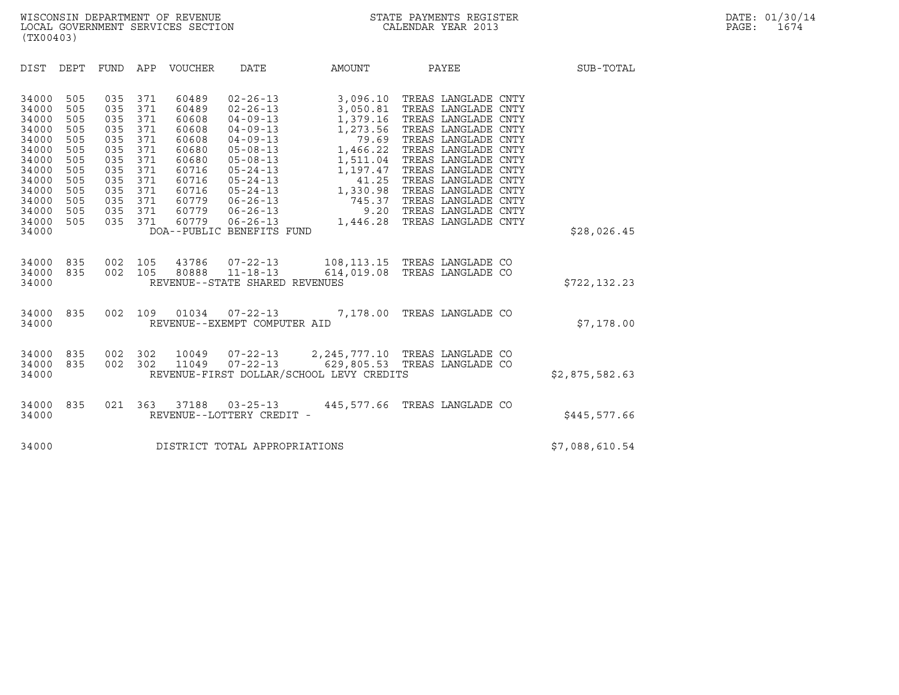| (TX00403)                                                                                                                                                                                                                                                                                                        |                                                                                                                                                                                                                                                                                                                                                                                                                                                                                     |                                                                                                             |                                                                                                                                                                                                                                                                                                                                 |                |
|------------------------------------------------------------------------------------------------------------------------------------------------------------------------------------------------------------------------------------------------------------------------------------------------------------------|-------------------------------------------------------------------------------------------------------------------------------------------------------------------------------------------------------------------------------------------------------------------------------------------------------------------------------------------------------------------------------------------------------------------------------------------------------------------------------------|-------------------------------------------------------------------------------------------------------------|---------------------------------------------------------------------------------------------------------------------------------------------------------------------------------------------------------------------------------------------------------------------------------------------------------------------------------|----------------|
| DIST<br>DEPT<br>FUND                                                                                                                                                                                                                                                                                             | DATE<br>APP<br>VOUCHER                                                                                                                                                                                                                                                                                                                                                                                                                                                              | AMOUNT                                                                                                      | PAYEE                                                                                                                                                                                                                                                                                                                           | SUB-TOTAL      |
| 505<br>035<br>34000<br>505<br>035<br>34000<br>505<br>035<br>34000<br>505<br>34000<br>035<br>34000<br>505<br>035<br>34000<br>505<br>035<br>035<br>34000<br>505<br>505<br>035<br>34000<br>505<br>34000<br>035<br>34000<br>505<br>035<br>505<br>035<br>34000<br>035<br>34000<br>505<br>035<br>505<br>34000<br>34000 | 371<br>60489<br>$02 - 26 - 13$<br>371<br>$02 - 26 - 13$<br>60489<br>371<br>$04 - 09 - 13$<br>60608<br>371<br>$04 - 09 - 13$<br>60608<br>371<br>60608<br>$04 - 09 - 13$<br>371<br>60680<br>$05 - 08 - 13$<br>371<br>60680<br>$05 - 08 - 13$<br>371<br>60716<br>$05 - 24 - 13$<br>371<br>$05 - 24 - 13$<br>60716<br>371<br>60716<br>$05 - 24 - 13$<br>371<br>60779<br>$06 - 26 - 13$<br>371<br>60779<br>$06 - 26 - 13$<br>371<br>60779<br>$06 - 26 - 13$<br>DOA--PUBLIC BENEFITS FUND | 3,096.10<br>3,050.81<br>1,379.16<br>1,273.56<br>79.69<br>1,197.47<br>1,330.98<br>745.37<br>9.20<br>1,446.28 | TREAS LANGLADE CNTY<br>TREAS LANGLADE CNTY<br>TREAS LANGLADE CNTY<br>TREAS LANGLADE CNTY<br>TREAS LANGLADE CNTY<br>1,466.22 TREAS LANGLADE CNTY<br>1,511.04 TREAS LANGLADE CNTY<br>TREAS LANGLADE CNTY<br>41.25 TREAS LANGLADE CNTY<br>TREAS LANGLADE CNTY<br>TREAS LANGLADE CNTY<br>TREAS LANGLADE CNTY<br>TREAS LANGLADE CNTY | \$28,026.45    |
| 002<br>34000<br>835<br>835<br>002<br>34000<br>34000                                                                                                                                                                                                                                                              | 105<br>43786<br>$07 - 22 - 13$<br>$11 - 18 - 13$<br>105<br>80888<br>REVENUE--STATE SHARED REVENUES                                                                                                                                                                                                                                                                                                                                                                                  |                                                                                                             | 108,113.15 TREAS LANGLADE CO<br>614,019.08 TREAS LANGLADE CO                                                                                                                                                                                                                                                                    | \$722, 132.23  |
| 835<br>002<br>34000<br>34000                                                                                                                                                                                                                                                                                     | 109<br>01034<br>$07 - 22 - 13$<br>REVENUE--EXEMPT COMPUTER AID                                                                                                                                                                                                                                                                                                                                                                                                                      |                                                                                                             | 7,178.00 TREAS LANGLADE CO                                                                                                                                                                                                                                                                                                      | \$7,178.00     |
| 34000<br>835<br>002<br>002<br>835<br>34000<br>34000                                                                                                                                                                                                                                                              | 302<br>10049<br>$07 - 22 - 13$<br>302<br>$07 - 22 - 13$<br>11049<br>REVENUE-FIRST DOLLAR/SCHOOL LEVY CREDITS                                                                                                                                                                                                                                                                                                                                                                        | 2,245,777.10 TREAS LANGLADE CO<br>629,805.53 TREAS LANGLADE CO                                              |                                                                                                                                                                                                                                                                                                                                 | \$2,875,582.63 |
| 835<br>021<br>34000<br>34000                                                                                                                                                                                                                                                                                     | 363<br>37188<br>$03 - 25 - 13$<br>REVENUE--LOTTERY CREDIT -                                                                                                                                                                                                                                                                                                                                                                                                                         |                                                                                                             | 445,577.66 TREAS LANGLADE CO                                                                                                                                                                                                                                                                                                    | \$445,577.66   |
| 34000                                                                                                                                                                                                                                                                                                            | DISTRICT TOTAL APPROPRIATIONS                                                                                                                                                                                                                                                                                                                                                                                                                                                       |                                                                                                             |                                                                                                                                                                                                                                                                                                                                 | \$7,088,610.54 |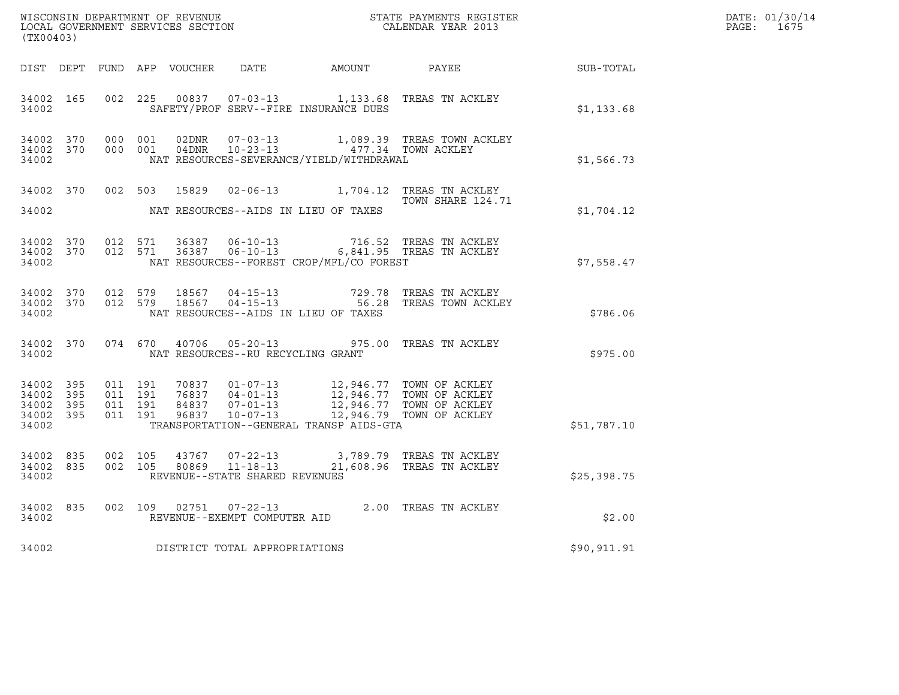| $\tt WISCONSIM DEPARTMENT OF REVENUE$ $\tt WISCONSIM EN THE RAYMENTS REGISTERLOCAL GOVERNMENT SERVICES SECTION CALENDAR YEAR 2013$<br>(TX00403) |  |                  |  |  |                                         |                                          |                                                                                                                                                                                                                                                   |              | DATE: 01/30/14<br>PAGE: 1675 |
|-------------------------------------------------------------------------------------------------------------------------------------------------|--|------------------|--|--|-----------------------------------------|------------------------------------------|---------------------------------------------------------------------------------------------------------------------------------------------------------------------------------------------------------------------------------------------------|--------------|------------------------------|
|                                                                                                                                                 |  |                  |  |  |                                         |                                          | DIST DEPT FUND APP VOUCHER DATE AMOUNT PAYEE PATE SUB-TOTAL                                                                                                                                                                                       |              |                              |
|                                                                                                                                                 |  | 34002 and $\sim$ |  |  |                                         | SAFETY/PROF SERV--FIRE INSURANCE DUES    | 34002 165 002 225 00837 07-03-13 1,133.68 TREAS TN ACKLEY                                                                                                                                                                                         | \$1,133.68   |                              |
| 34002                                                                                                                                           |  |                  |  |  |                                         | NAT RESOURCES-SEVERANCE/YIELD/WITHDRAWAL | $\begin{array}{cccccccc} 34002 & 370 & 000 & 001 & 02\text{DNR} & 07-03-13 & 1,089.39 & \text{TREAS TOWN ACKLEY} \\ 34002 & 370 & 000 & 001 & 04\text{DNR} & 10-23-13 & 477.34 & \text{TOWN ACKLEY} \end{array}$                                  | \$1,566.73   |                              |
| 34002                                                                                                                                           |  |                  |  |  |                                         | NAT RESOURCES--AIDS IN LIEU OF TAXES     | 34002 370 002 503 15829 02-06-13 1,704.12 TREAS TN ACKLEY<br>TOWN SHARE 124.71                                                                                                                                                                    | \$1,704.12   |                              |
| 34002                                                                                                                                           |  |                  |  |  |                                         | NAT RESOURCES--FOREST CROP/MFL/CO FOREST | $\begin{array}{cccccccc} 34002 & 370 & 012 & 571 & 36387 & 06-10-13 & & & 716.52 & \text{TREAS TN ACKLEY} \\ 34002 & 370 & 012 & 571 & 36387 & 06-10-13 & & & 6,841.95 & \text{TREAS TN ACKLEY} \end{array}$                                      | \$7,558.47   |                              |
| 34002                                                                                                                                           |  |                  |  |  |                                         | NAT RESOURCES--AIDS IN LIEU OF TAXES     | $\begin{array}{cccccc} 34002 & 370 & 012 & 579 & 18567 & 04-15-13 & & & & & & & & & & & \text{T29.78} & \text{TREAS TN ACKLEY} \\ 34002 & 370 & 012 & 579 & 18567 & 04-15-13 & & & & & & & & \text{56.28} & \text{TREAS TOWN ACKLEY} \end{array}$ | \$786.06     |                              |
|                                                                                                                                                 |  |                  |  |  | 34002 NAT RESOURCES--RU RECYCLING GRANT |                                          | 34002 370 074 670 40706 05-20-13 975.00 TREAS TN ACKLEY                                                                                                                                                                                           | \$975.00     |                              |
| 34002                                                                                                                                           |  |                  |  |  |                                         | TRANSPORTATION--GENERAL TRANSP AIDS-GTA  | 34002 395 011 191 70837 01-07-13 12,946.77 TOWN OF ACKLEY<br>34002 395 011 191 76837 04-01-13 12,946.77 TOWN OF ACKLEY<br>34002 395 011 191 84837 07-01-13 12,946.77 TOWN OF ACKLEY<br>34002 395 011 191 96837 10-07-13 12,946.79 TOWN            | \$51,787.10  |                              |
| 34002                                                                                                                                           |  |                  |  |  | REVENUE--STATE SHARED REVENUES          |                                          | $\begin{array}{cccccc} 34002 & 835 & 002 & 105 & 43767 & 07-22-13 & & 3,789.79 & \text{TREAS TN ACKLEY} \\ 34002 & 835 & 002 & 105 & 80869 & 11-18-13 & & 21,608.96 & \text{TREAS TN ACKLEY} \end{array}$                                         | \$25,398.75  |                              |
|                                                                                                                                                 |  |                  |  |  | 34002 REVENUE--EXEMPT COMPUTER AID      |                                          | 34002 835 002 109 02751 07-22-13 2.00 TREAS TN ACKLEY                                                                                                                                                                                             | \$2.00       |                              |
| 34002                                                                                                                                           |  |                  |  |  | DISTRICT TOTAL APPROPRIATIONS           |                                          |                                                                                                                                                                                                                                                   | \$90, 911.91 |                              |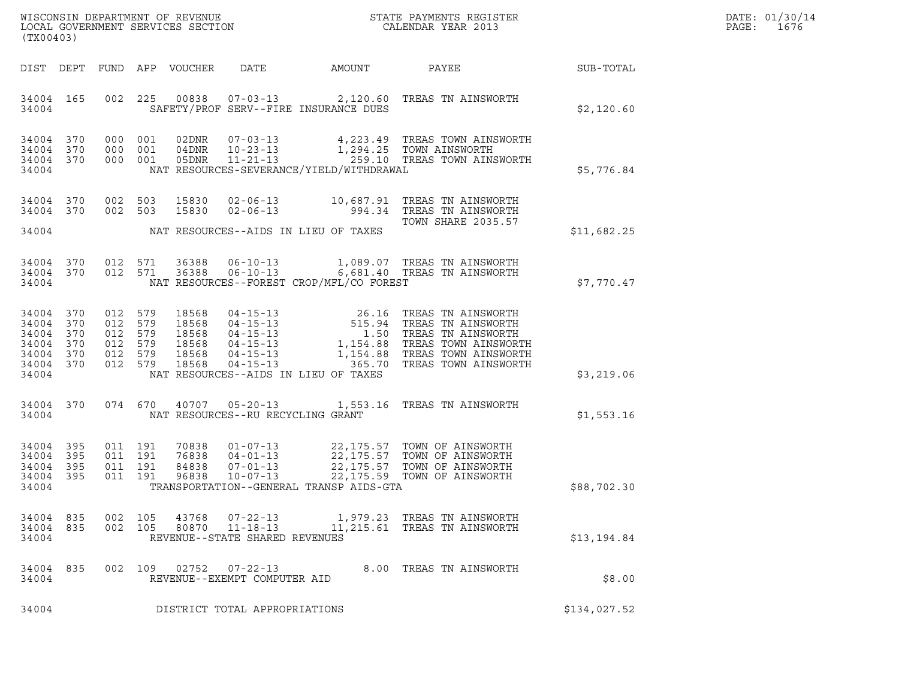| WISCONSIN DEPARTMENT OF REVENUE<br>LOCAL GOVERNMENT SERVICES SECTION<br>CALENDAR YEAR 2013<br>(TX00403)                                                                                                                    |                                                                                                                                                                                                                                                                                                                |                         |              | DATE: 01/30/14<br>PAGE: 1676 |
|----------------------------------------------------------------------------------------------------------------------------------------------------------------------------------------------------------------------------|----------------------------------------------------------------------------------------------------------------------------------------------------------------------------------------------------------------------------------------------------------------------------------------------------------------|-------------------------|--------------|------------------------------|
| FUND APP VOUCHER<br>DIST DEPT                                                                                                                                                                                              | DATE AMOUNT                                                                                                                                                                                                                                                                                                    | PAYEE                   | SUB-TOTAL    |                              |
| 34004 165<br>34004                                                                                                                                                                                                         | 002 225 00838 07-03-13 2,120.60 TREAS TN AINSWORTH<br>SAFETY/PROF SERV--FIRE INSURANCE DUES                                                                                                                                                                                                                    |                         | \$2,120.60   |                              |
| 34004 370<br>000 001<br>02DNR<br>34004 370<br>04DNR<br>000 001<br>34004 370<br>05DNR<br>000 001<br>34004                                                                                                                   | 07-03-13 4,223.49 TREAS TOWN AINSWORTH<br>10-23-13 1,294.25 TOWN AINSWORTH<br>11-21-13 259.10 TREAS TOWN AINSWORTH<br>NAT RESOURCES-SEVERANCE/YIELD/WITHDRAWAL                                                                                                                                                 |                         | \$5,776.84   |                              |
|                                                                                                                                                                                                                            |                                                                                                                                                                                                                                                                                                                |                         |              |                              |
| 34004 370<br>002 503<br>15830<br>34004 370<br>002 503<br>15830                                                                                                                                                             | 02-06-13 10,687.91 TREAS TN AINSWORTH<br>02-06-13 994.34 TREAS TN AINSWORTH                                                                                                                                                                                                                                    | TOWN SHARE 2035.57      |              |                              |
| 34004                                                                                                                                                                                                                      | NAT RESOURCES--AIDS IN LIEU OF TAXES                                                                                                                                                                                                                                                                           |                         | \$11,682.25  |                              |
| 34004 370<br>012 571 36388<br>34004 370<br>012 571 36388<br>34004                                                                                                                                                          | 06-10-13 1,089.07 TREAS TN AINSWORTH<br>06-10-13 6,681.40 TREAS TN AINSWORTH<br>NAT RESOURCES--FOREST CROP/MFL/CO FOREST                                                                                                                                                                                       |                         | \$7,770.47   |                              |
| 34004 370<br>012<br>579<br>18568<br>34004 370<br>012 579<br>18568<br>370<br>18568<br>34004<br>012<br>579<br>579<br>18568<br>34004 370<br>012<br>34004 370<br>18568<br>012<br>579<br>34004 370<br>012 579<br>18568<br>34004 | 04-15-13<br>04-15-13<br>04-15-13<br>04-15-13<br>04-15-13<br>04-15-13<br>1,154.88<br>1,154.88<br>1,154.88<br>1,154.88<br>1,154.88<br>1,154.88<br>1,154.88<br>1,154.88<br>2,2000 DEAS TREAS TOWN AINSWORTH<br>04-15-13<br>04-15-13<br>04-15-13<br>04-15-13<br>05.70<br>T<br>NAT RESOURCES--AIDS IN LIEU OF TAXES |                         | \$3,219.06   |                              |
|                                                                                                                                                                                                                            |                                                                                                                                                                                                                                                                                                                |                         |              |                              |
| 34004 370<br>074 670 40707<br>34004                                                                                                                                                                                        | 05-20-13 1,553.16 TREAS TN AINSWORTH<br>NAT RESOURCES--RU RECYCLING GRANT                                                                                                                                                                                                                                      |                         | \$1,553.16   |                              |
| 34004 395<br>011 191<br>70838<br>395<br>011 191<br>76838<br>34004<br>34004 395<br>011 191<br>84838<br>34004 395<br>96838<br>011 191<br>34004                                                                               | 01-07-13 22,175.57 TOWN OF AINSWORTH<br>04-01-13 22,175.57 TOWN OF AINSWORTH<br>07-01-13 22,175.57 TOWN OF AINSWORTH<br>10-07-13 22,175.59 TOWN OF AINSWORTH<br>TRANSPORTATION--GENERAL TRANSP AIDS-GTA                                                                                                        |                         | \$88,702.30  |                              |
|                                                                                                                                                                                                                            |                                                                                                                                                                                                                                                                                                                |                         |              |                              |
| 34004 835<br>002<br>105<br>43768<br>34004 835<br>002 105<br>80870<br>34004                                                                                                                                                 | 07-22-13 1,979.23 TREAS TN AINSWORTH<br>11-18-13 11,215.61 TREAS TN AINSWORTH<br>REVENUE--STATE SHARED REVENUES                                                                                                                                                                                                |                         | \$13,194.84  |                              |
| 34004 835<br>002 109 02752 07-22-13<br>34004                                                                                                                                                                               | REVENUE--EXEMPT COMPUTER AID                                                                                                                                                                                                                                                                                   | 8.00 TREAS TN AINSWORTH | \$8.00       |                              |
| 34004                                                                                                                                                                                                                      | DISTRICT TOTAL APPROPRIATIONS                                                                                                                                                                                                                                                                                  |                         | \$134,027.52 |                              |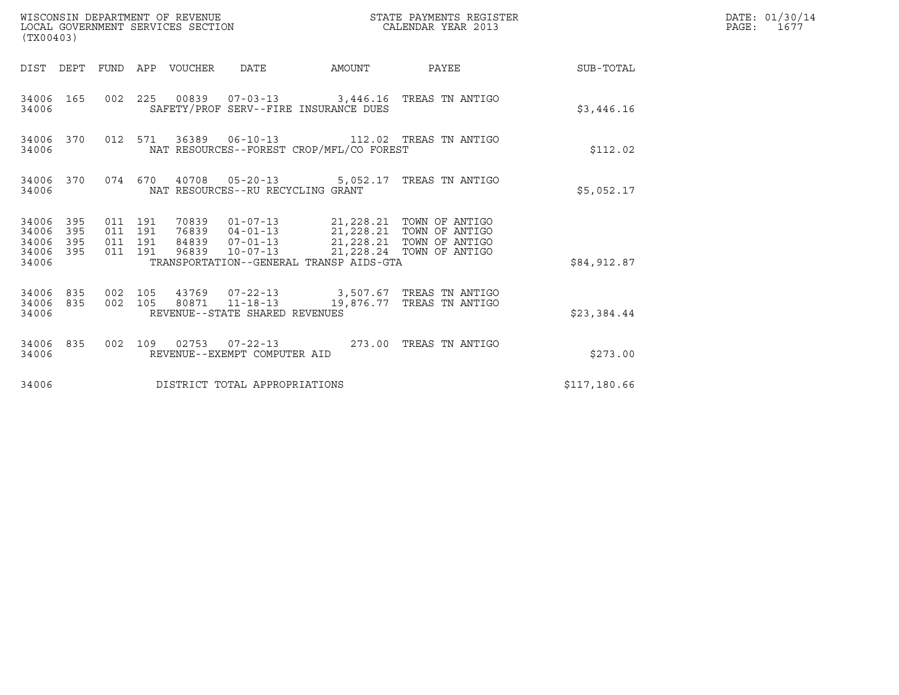| WISCONSIN DEPARTMENT OF REVENUE<br>(TX00403)                          | STATE PAYMENTS REGISTER<br>LOCAL GOVERNMENT SERVICES SECTION<br>CALENDAR YEAR 2013                                                                                                                                                                                          |              | DATE: 01/30/14<br>PAGE: 1677 |
|-----------------------------------------------------------------------|-----------------------------------------------------------------------------------------------------------------------------------------------------------------------------------------------------------------------------------------------------------------------------|--------------|------------------------------|
|                                                                       | DIST DEPT FUND APP VOUCHER DATE<br>AMOUNT<br>PAYEE                                                                                                                                                                                                                          | SUB-TOTAL    |                              |
| 34006 165<br>34006                                                    | 002  225  00839  07-03-13  3,446.16  TREAS TN ANTIGO<br>SAFETY/PROF SERV--FIRE INSURANCE DUES                                                                                                                                                                               | \$3,446.16   |                              |
| 34006 370<br>34006                                                    | 012 571 36389 06-10-13 112.02 TREAS TN ANTIGO<br>NAT RESOURCES--FOREST CROP/MFL/CO FOREST                                                                                                                                                                                   | \$112.02     |                              |
| 34006 370<br>34006                                                    | 074 670 40708 05-20-13 5,052.17 TREAS TN ANTIGO<br>NAT RESOURCES--RU RECYCLING GRANT                                                                                                                                                                                        | \$5,052.17   |                              |
| 34006<br>395<br>395<br>34006<br>395<br>34006<br>395<br>34006<br>34006 | 70839  01-07-13  21,228.21  TOWN OF ANTIGO<br>76839  04-01-13  21,228.21  TOWN OF ANTIGO<br>84839  07-01-13  21,228.21  TOWN OF ANTIGO<br>011 191<br>011 191<br>011 191<br>96839  10-07-13  21,228.24  TOWN OF ANTIGO<br>011 191<br>TRANSPORTATION--GENERAL TRANSP AIDS-GTA | \$84,912.87  |                              |
| 34006 835<br>835<br>34006<br>34006                                    | 43769  07-22-13  3,507.67  TREAS TN ANTIGO<br>002 105<br>80871 11-18-13 19,876.77 TREAS TN ANTIGO<br>002 105<br>REVENUE--STATE SHARED REVENUES                                                                                                                              | \$23,384.44  |                              |
| 34006 835<br>34006                                                    | 002 109 02753 07-22-13<br>273.00 TREAS TN ANTIGO<br>REVENUE--EXEMPT COMPUTER AID                                                                                                                                                                                            | \$273.00     |                              |
| 34006                                                                 | DISTRICT TOTAL APPROPRIATIONS                                                                                                                                                                                                                                               | \$117,180.66 |                              |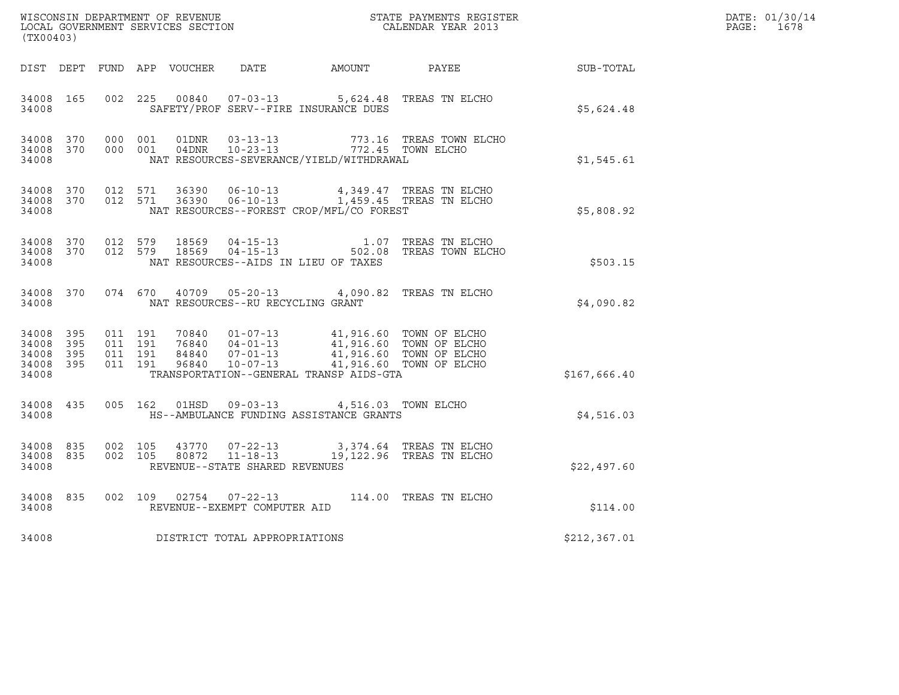| $\tt WISCONSIM DEPARTMENT OF REVENUE$ $\tt WISCONSIM EN THE RAYMENTS REGISTERLOCAL GOVERNMENT SERVICES SECTION CALENDAR YEAR 2013$<br>(TX00403) |           |                                        |                    |  |                                   |                                                                                                                                                                                                                         |                                                                                          |                                                            | DATE: 01/30/14<br>PAGE: 1678 |
|-------------------------------------------------------------------------------------------------------------------------------------------------|-----------|----------------------------------------|--------------------|--|-----------------------------------|-------------------------------------------------------------------------------------------------------------------------------------------------------------------------------------------------------------------------|------------------------------------------------------------------------------------------|------------------------------------------------------------|------------------------------|
|                                                                                                                                                 |           |                                        |                    |  |                                   |                                                                                                                                                                                                                         |                                                                                          | DIST DEPT FUND APP VOUCHER DATE AMOUNT PAYEE THE SUB-TOTAL |                              |
| 34008 165<br>34008                                                                                                                              |           | 002 225                                |                    |  |                                   | 00840  07-03-13  5,624.48 TREAS TN ELCHO<br>SAFETY/PROF SERV--FIRE INSURANCE DUES                                                                                                                                       |                                                                                          | \$5,624.48                                                 |                              |
| 34008                                                                                                                                           |           | 34008 370 000 001<br>34008 370 000 001 |                    |  |                                   | 01DNR  03-13-13  773.16 TREAS TOWN  04DNR  10-23-13  772.45 TOWN ELCHO<br>NAT RESOURCES-SEVERANCE/YIELD/WITHDRAWAL                                                                                                      | 773.16 TREAS TOWN ELCHO                                                                  | \$1,545.61                                                 |                              |
| 34008                                                                                                                                           | 34008 370 | 34008 370 012 571                      | 012 571            |  |                                   | NAT RESOURCES--FOREST CROP/MFL/CO FOREST                                                                                                                                                                                | $36390$ $06-10-13$ $4,349.47$ TREAS TN ELCHO<br>36390 $06-10-13$ 1,459.45 TREAS TN ELCHO | \$5,808.92                                                 |                              |
| 34008 370<br>34008                                                                                                                              |           | 34008 370 012 579<br>012 579           |                    |  |                                   | NAT RESOURCES--AIDS IN LIEU OF TAXES                                                                                                                                                                                    |                                                                                          | \$503.15                                                   |                              |
|                                                                                                                                                 | 34008     |                                        |                    |  | NAT RESOURCES--RU RECYCLING GRANT | 34008 370 074 670 40709 05-20-13 4,090.82 TREAS TN ELCHO                                                                                                                                                                |                                                                                          | \$4.090.82                                                 |                              |
| 34008 395<br>34008 395<br>34008 395<br>34008                                                                                                    | 34008 395 | 011 191<br>011 191                     | 011 191<br>011 191 |  |                                   | 70840  01-07-13  41,916.60 TOWN OF ELCHO<br>76840  04-01-13  41,916.60 TOWN OF ELCHO<br>84840  07-01-13  41,916.60 TOWN OF ELCHO<br>96840  10-07-13  41,916.60 TOWN OF ELCHO<br>TRANSPORTATION--GENERAL TRANSP AIDS-GTA |                                                                                          | \$167,666.40                                               |                              |
| 34008 435<br>34008                                                                                                                              |           |                                        |                    |  |                                   | 005 162 01HSD 09-03-13 4,516.03 TOWN ELCHO<br>HS--AMBULANCE FUNDING ASSISTANCE GRANTS                                                                                                                                   |                                                                                          | \$4,516.03                                                 |                              |
| 34008                                                                                                                                           | 34008 835 | 34008 835 002 105                      | 002 105            |  | REVENUE--STATE SHARED REVENUES    | 43770  07-22-13  3,374.64 TREAS TN ELCHO<br>80872  11-18-13  19,122.96 TREAS TN ELCHO                                                                                                                                   |                                                                                          | \$22,497.60                                                |                              |
| 34008                                                                                                                                           | 34008 835 |                                        |                    |  | REVENUE--EXEMPT COMPUTER AID      | 002 109 02754 07-22-13 114.00 TREAS TN ELCHO                                                                                                                                                                            |                                                                                          | \$114.00                                                   |                              |
| 34008                                                                                                                                           |           |                                        |                    |  | DISTRICT TOTAL APPROPRIATIONS     |                                                                                                                                                                                                                         |                                                                                          | \$212,367.01                                               |                              |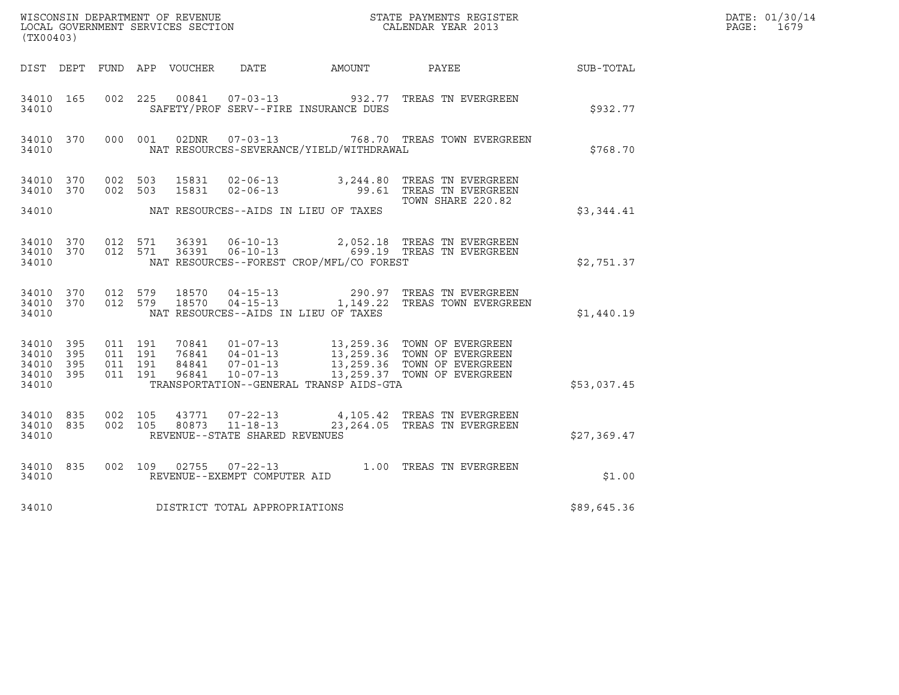| (TX00403)                                 |                          |         |         |       |                                  |                                              |                                                                                                                                                                                                                |                  | DATE: 01/30/14<br>PAGE: 1679 |
|-------------------------------------------|--------------------------|---------|---------|-------|----------------------------------|----------------------------------------------|----------------------------------------------------------------------------------------------------------------------------------------------------------------------------------------------------------------|------------------|------------------------------|
|                                           |                          |         |         |       |                                  | DIST DEPT FUND APP VOUCHER DATE AMOUNT PAYEE |                                                                                                                                                                                                                | <b>SUB-TOTAL</b> |                              |
| 34010 165<br>34010                        |                          |         |         |       |                                  | SAFETY/PROF SERV--FIRE INSURANCE DUES        | 002  225  00841  07-03-13  932.77  TREAS TN EVERGREEN                                                                                                                                                          | \$932.77         |                              |
| 34010                                     | 34010 370                |         |         |       | 000 001 02DNR 07-03-13           | NAT RESOURCES-SEVERANCE/YIELD/WITHDRAWAL     | 768.70 TREAS TOWN EVERGREEN                                                                                                                                                                                    | \$768.70         |                              |
| 34010 370                                 | 34010 370                | 002 503 | 002 503 | 15831 |                                  |                                              | 02-06-13 3,244.80 TREAS TN EVERGREEN<br>15831 02-06-13 99.61 TREAS TN EVERGREEN<br>TOWN SHARE 220.82                                                                                                           |                  |                              |
| 34010                                     |                          |         |         |       |                                  | NAT RESOURCES--AIDS IN LIEU OF TAXES         |                                                                                                                                                                                                                | \$3,344.41       |                              |
| 34010 370<br>34010                        |                          |         | 012 571 |       | 34010 370 012 571 36391 06-10-13 | NAT RESOURCES--FOREST CROP/MFL/CO FOREST     | 2,052.18 TREAS TN EVERGREEN<br>36391   06-10-13   699.19   TREAS TN EVERGREEN                                                                                                                                  | \$2,751.37       |                              |
| 34010                                     |                          |         |         |       |                                  | NAT RESOURCES--AIDS IN LIEU OF TAXES         | $\begin{array}{cccccc} 34010 & 370 & 012 & 579 & 18570 & 04-15-13 & & 290.97 & \text{TREAS TN EVERGREEN} \\ 34010 & 370 & 012 & 579 & 18570 & 04-15-13 & & 1,149.22 & \text{TREAS TOWN EVERGREEN} \end{array}$ | \$1,440.19       |                              |
| 34010<br>34010<br>34010<br>34010<br>34010 | 395<br>395<br>395<br>395 |         |         |       |                                  | TRANSPORTATION--GENERAL TRANSP AIDS-GTA      |                                                                                                                                                                                                                | \$53,037.45      |                              |
|                                           |                          |         |         |       |                                  |                                              |                                                                                                                                                                                                                |                  |                              |
| 34010 835<br>34010                        | 34010 835                | 002 105 | 002 105 |       | REVENUE--STATE SHARED REVENUES   |                                              | 43771  07-22-13  4,105.42  TREAS TN EVERGREEN<br>80873  11-18-13  23,264.05  TREAS TN EVERGREEN                                                                                                                | \$27,369.47      |                              |
| 34010                                     | 34010 835                |         |         |       | REVENUE--EXEMPT COMPUTER AID     |                                              | 002 109 02755 07-22-13 1.00 TREAS TN EVERGREEN                                                                                                                                                                 | \$1.00           |                              |
| 34010                                     |                          |         |         |       | DISTRICT TOTAL APPROPRIATIONS    |                                              |                                                                                                                                                                                                                | \$89,645.36      |                              |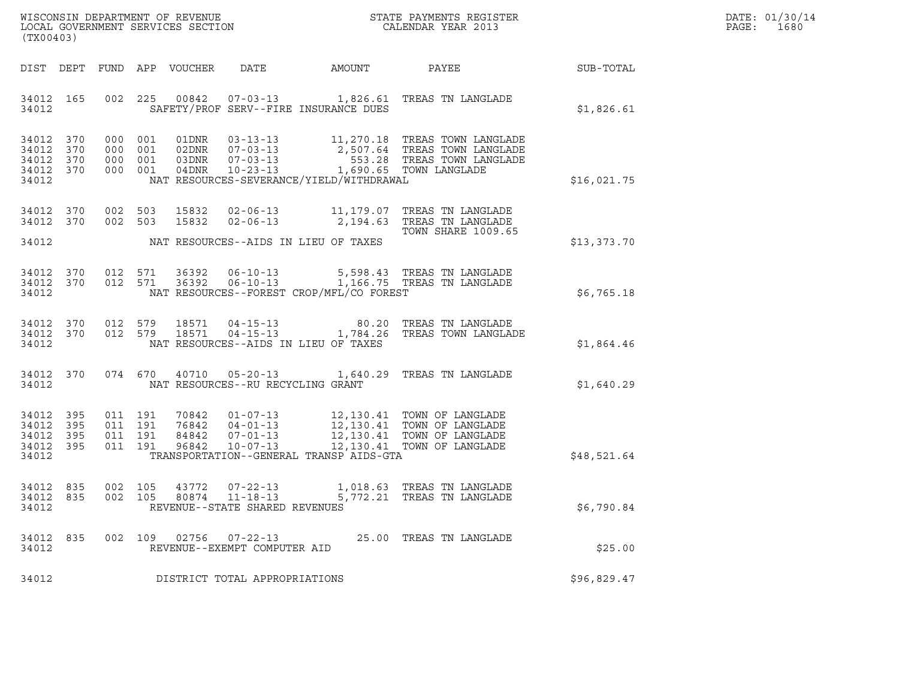| WISCONSIN DEPARTMENT OF REVENUE   | STATE PAYMENTS REGISTER | DATE: 01/30/14 |
|-----------------------------------|-------------------------|----------------|
| LOCAL GOVERNMENT SERVICES SECTION | CALENDAR YEAR 2013      | 1680<br>PAGE : |

| WISCONSIN DEPARTMENT OF REVENUE<br>LOCAL GOVERNMENT SERVICES SECTION THE STATE PAYMENTS REGISTER<br>(TWOOACO)<br>(TX00403) |           |                    |  |  |                                                        |                                             |                                                                                                                                                                                                                                                                                             |             | DATE: 01/30/14<br>PAGE: 1680 |
|----------------------------------------------------------------------------------------------------------------------------|-----------|--------------------|--|--|--------------------------------------------------------|---------------------------------------------|---------------------------------------------------------------------------------------------------------------------------------------------------------------------------------------------------------------------------------------------------------------------------------------------|-------------|------------------------------|
|                                                                                                                            |           |                    |  |  |                                                        |                                             | DIST DEPT FUND APP VOUCHER DATE AMOUNT PAYEE PAYEE SUB-TOTAL                                                                                                                                                                                                                                |             |                              |
|                                                                                                                            |           |                    |  |  |                                                        | 34012 SAFETY/PROF SERV--FIRE INSURANCE DUES | 34012 165 002 225 00842 07-03-13 1,826.61 TREAS TN LANGLADE                                                                                                                                                                                                                                 | \$1,826.61  |                              |
| 34012 370<br>34012 370<br>34012 370<br>34012 370<br>34012                                                                  |           |                    |  |  |                                                        | NAT RESOURCES-SEVERANCE/YIELD/WITHDRAWAL    |                                                                                                                                                                                                                                                                                             | \$16,021.75 |                              |
|                                                                                                                            | 34012 370 |                    |  |  |                                                        | 34012 NAT RESOURCES--AIDS IN LIEU OF TAXES  | 34012 370 002 503 15832 02-06-13 11,179.07 TREAS TN LANGLADE<br>002 503 15832 02-06-13 2,194.63 TREAS TN LANGLADE<br><b>TOWN SHARE 1009.65</b>                                                                                                                                              | \$13,373.70 |                              |
|                                                                                                                            |           |                    |  |  |                                                        |                                             | $34012$ 370 012 571 36392 06-10-13 5,598.43 TREAS TN LANGLADE<br>34012 370 012 571 36392 06-10-13 1,166.75 TREAS TN LANGLADE<br>34012 NAT RESOURCES--FOREST CROP/MFL/CO FOREST                                                                                                              | \$6,765.18  |                              |
| 34012                                                                                                                      |           |                    |  |  |                                                        | NAT RESOURCES--AIDS IN LIEU OF TAXES        | $\begin{array}{cccccc} 34012 & 370 & 012 & 579 & 18571 & 04-15-13 & & & & 80.20 & \text{TREAS TN LANGLADE} \\ 34012 & 370 & 012 & 579 & 18571 & 04-15-13 & & & 1,784.26 & \text{TREAS TOWN LANGLADE} \end{array}$                                                                           | \$1,864.46  |                              |
|                                                                                                                            |           |                    |  |  | 34012 NAT RESOURCES--RU RECYCLING GRANT                |                                             | 34012 370 074 670 40710 05-20-13 1,640.29 TREAS TN LANGLADE                                                                                                                                                                                                                                 | \$1,640.29  |                              |
| 34012 395<br>34012 395<br>34012 395<br>34012 395<br>34012                                                                  |           |                    |  |  |                                                        | TRANSPORTATION--GENERAL TRANSP AIDS-GTA     | $\begin{tabular}{cccccc} 011 & 191 & 70842 & 01-07-13 & 12,130.41 & TOWN OF LANGLE \\ 011 & 191 & 76842 & 04-01-13 & 12,130.41 & TOWN OF LANGLE \\ 011 & 191 & 84842 & 07-01-13 & 12,130.41 & TOWN OF LANGLE \\ 011 & 191 & 96842 & 10-07-13 & 12,130.41 & TOWN OF LANGLE \\ \end{tabular}$ | \$48,521.64 |                              |
| 34012 835<br>34012 835<br>34012                                                                                            |           | 002 105<br>002 105 |  |  | REVENUE--STATE SHARED REVENUES                         |                                             | 43772   07-22-13   1,018.63   TREAS TN LANGLADE<br>80874   11-18-13   5,772.21   TREAS TN LANGLADE                                                                                                                                                                                          | \$6,790.84  |                              |
| 34012 835<br>34012                                                                                                         |           |                    |  |  | 002 109 02756 07-22-13<br>REVENUE--EXEMPT COMPUTER AID |                                             | 25.00 TREAS TN LANGLADE                                                                                                                                                                                                                                                                     | \$25.00     |                              |
| 34012                                                                                                                      |           |                    |  |  | DISTRICT TOTAL APPROPRIATIONS                          |                                             |                                                                                                                                                                                                                                                                                             | \$96,829.47 |                              |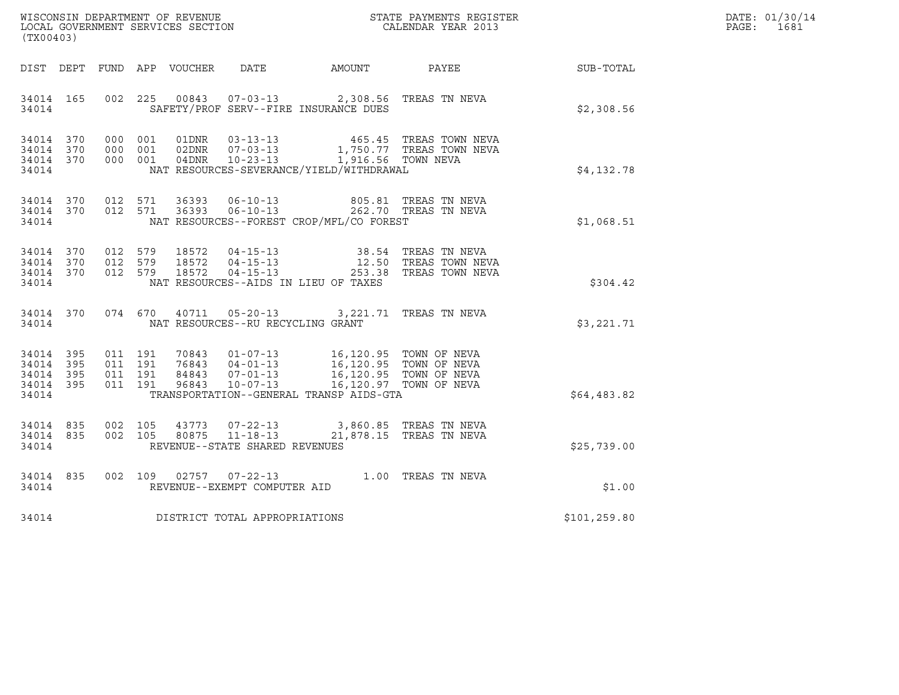|       | DATE: 01/30/14 |
|-------|----------------|
| PAGE: | 1681           |

| (TX00403)                                                 | WISCONSIN DEPARTMENT OF REVENUE<br>LOCAL GOVERNMENT SERVICES SECTION<br>CALENDAR YEAR 2013                                                                                                                                                             | DATE: 01/30/14<br>PAGE: 1681 |  |
|-----------------------------------------------------------|--------------------------------------------------------------------------------------------------------------------------------------------------------------------------------------------------------------------------------------------------------|------------------------------|--|
|                                                           | DIST DEPT FUND APP VOUCHER DATE AMOUNT PAYEE THE SUB-TOTAL                                                                                                                                                                                             |                              |  |
| 34014 165<br>34014                                        | 002 225 00843 07-03-13 2,308.56 TREAS TN NEVA<br>SAFETY/PROF SERV--FIRE INSURANCE DUES                                                                                                                                                                 | \$2,308.56                   |  |
| 34014 370<br>34014 370<br>34014 370<br>34014              | 000 001 01DNR 03-13-13 465.45 TREAS TOWN NEVA<br>000 001 02DNR 07-03-13 1,750.77 TREAS TOWN NEVA<br>000 001 04DNR 10-23-13 1,916.56 TOWN NEVA<br>NAT RESOURCES-SEVERANCE/YIELD/WITHDRAWAL                                                              | \$4,132.78                   |  |
| 34014                                                     | $\begin{array}{cccccccc} 34014 & 370 & 012 & 571 & 36393 & 06-10-13 & & & 805.81 & \text{TREAS TN NEVA} \\ 34014 & 370 & 012 & 571 & 36393 & 06-10-13 & & & 262.70 & \text{TREAS TN NEVA} \end{array}$<br>NAT RESOURCES--FOREST CROP/MFL/CO FOREST     | \$1,068.51                   |  |
| 34014 370<br>34014 370<br>34014 370<br>34014              | 012 579 18572 04-15-13 38.54 TREAS TN NEVA<br>012 579 18572 04-15-13 12.50 TREAS TOWN NEVA<br>012 579 18572 04-15-13 253.38 TREAS TOWN NEVA<br>NAT RESOURCES--AIDS IN LIEU OF TAXES                                                                    | \$304.42                     |  |
| 34014 370<br>34014                                        | 074 670 40711 05-20-13 3,221.71 TREAS TN NEVA<br>NAT RESOURCES--RU RECYCLING GRANT                                                                                                                                                                     | \$3,221.71                   |  |
| 34014 395<br>34014 395<br>34014 395<br>34014 395<br>34014 | 011 191 70843 01-07-13 16,120.95 TOWN OF NEVA<br>011 191 76843 04-01-13 16,120.95 TOWN OF NEVA<br>011 191 84843 07-01-13 16,120.95 TOWN OF NEVA<br>011 191 96843 10-07-13 16,120.97 TOWN OF NEVA<br>011 191<br>TRANSPORTATION--GENERAL TRANSP AIDS-GTA | \$64,483.82                  |  |
| 34014 835<br>34014 835<br>34014                           | $\begin{array}{cccc} 002 & 105 & 43773 & 07-22-13 & 3,860.85 & \text{TREAS TN NEVA} \\ 002 & 105 & 80875 & 11-18-13 & 21,878.15 & \text{TREAS TN NEVA} \end{array}$<br>REVENUE--STATE SHARED REVENUES                                                  | \$25,739.00                  |  |
| 34014 835<br>34014                                        | 002 109 02757 07-22-13 1.00 TREAS TN NEVA<br>REVENUE--EXEMPT COMPUTER AID                                                                                                                                                                              | \$1.00                       |  |
|                                                           | 34014 DISTRICT TOTAL APPROPRIATIONS                                                                                                                                                                                                                    | \$101,259.80                 |  |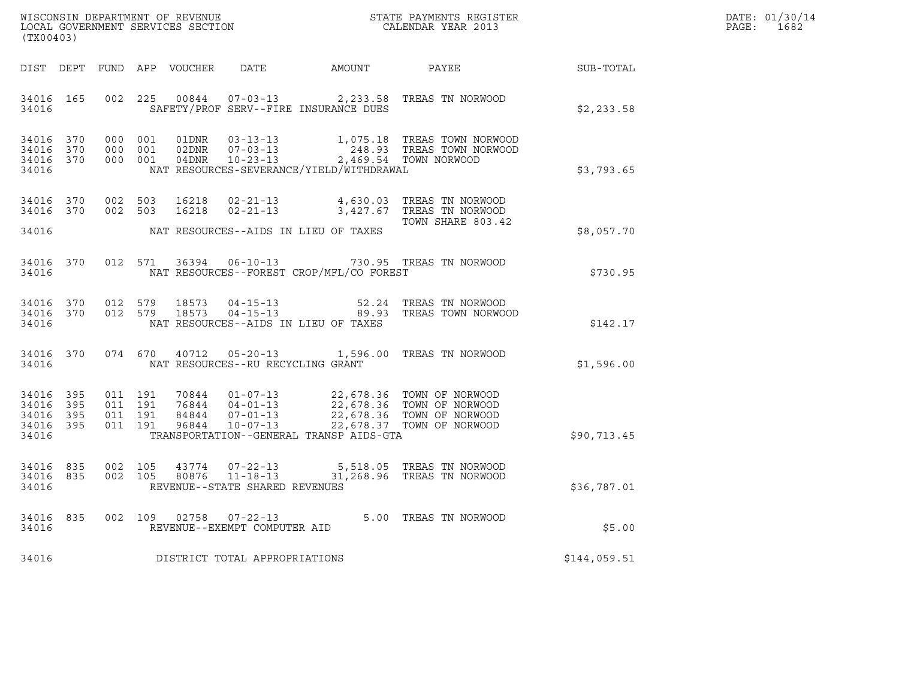| WISCONSIN DEPARTMENT OF REVENUE   | STATE PAYMENTS REGISTER | DATE: 01/30/14 |
|-----------------------------------|-------------------------|----------------|
| LOCAL GOVERNMENT SERVICES SECTION | CALENDAR YEAR 2013      | 1682<br>PAGE : |

| (TX00403)                                 |                          |                          |                          |                                  |                                                                                                                 |                      |                                                                                                        |              |
|-------------------------------------------|--------------------------|--------------------------|--------------------------|----------------------------------|-----------------------------------------------------------------------------------------------------------------|----------------------|--------------------------------------------------------------------------------------------------------|--------------|
| DIST                                      | DEPT                     | FUND                     | APP                      | VOUCHER                          | <b>DATE</b>                                                                                                     | <b>AMOUNT</b>        | PAYEE                                                                                                  | SUB-TOTAL    |
| 34016<br>34016                            | 165                      | 002                      | 225                      | 00844                            | $07 - 03 - 13$<br>SAFETY/PROF SERV--FIRE INSURANCE DUES                                                         | 2,233.58             | TREAS TN NORWOOD                                                                                       | \$2,233.58   |
| 34016<br>34016<br>34016<br>34016          | 370<br>370<br>370        | 000<br>000<br>000        | 001<br>001<br>001        | 01DNR<br>02DNR<br>04DNR          | $03 - 13 - 13$<br>$07 - 03 - 13$<br>$10 - 23 - 13$<br>NAT RESOURCES-SEVERANCE/YIELD/WITHDRAWAL                  | 248.93<br>2,469.54   | 1,075.18 TREAS TOWN NORWOOD<br>TREAS TOWN NORWOOD<br>TOWN NORWOOD                                      | \$3,793.65   |
| 34016<br>34016                            | 370<br>370               | 002<br>002               | 503<br>503               | 16218<br>16218                   | $02 - 21 - 13$<br>$02 - 21 - 13$                                                                                | 4,630.03<br>3,427.67 | TREAS TN NORWOOD<br>TREAS TN NORWOOD<br>TOWN SHARE 803.42                                              |              |
| 34016                                     |                          |                          |                          |                                  | NAT RESOURCES--AIDS IN LIEU OF TAXES                                                                            |                      |                                                                                                        | \$8,057.70   |
| 34016<br>34016                            | 370                      | 012                      | 571                      | 36394                            | $06 - 10 - 13$<br>NAT RESOURCES--FOREST CROP/MFL/CO FOREST                                                      |                      | 730.95 TREAS TN NORWOOD                                                                                | \$730.95     |
| 34016<br>34016<br>34016                   | 370<br>370               | 012<br>012               | 579<br>579               | 18573<br>18573                   | $04 - 15 - 13$<br>$04 - 15 - 13$<br>NAT RESOURCES--AIDS IN LIEU OF TAXES                                        | 52.24<br>89.93       | TREAS TN NORWOOD<br>TREAS TOWN NORWOOD                                                                 | \$142.17     |
| 34016<br>34016                            | 370                      | 074                      | 670                      | 40712                            | $05 - 20 - 13$ 1,596.00<br>NAT RESOURCES--RU RECYCLING GRANT                                                    |                      | TREAS TN NORWOOD                                                                                       | \$1,596.00   |
| 34016<br>34016<br>34016<br>34016<br>34016 | 395<br>395<br>395<br>395 | 011<br>011<br>011<br>011 | 191<br>191<br>191<br>191 | 70844<br>76844<br>84844<br>96844 | $01 - 07 - 13$<br>$04 - 01 - 13$<br>$07 - 01 - 13$<br>$10 - 07 - 13$<br>TRANSPORTATION--GENERAL TRANSP AIDS-GTA | 22,678.37            | 22,678.36 TOWN OF NORWOOD<br>22,678.36 TOWN OF NORWOOD<br>22,678.36 TOWN OF NORWOOD<br>TOWN OF NORWOOD | \$90,713.45  |
| 34016<br>34016<br>34016                   | 835<br>835               | 002<br>002               | 105<br>105               | 43774<br>80876                   | $07 - 22 - 13$<br>$11 - 18 - 13$<br>REVENUE--STATE SHARED REVENUES                                              | 31,268.96            | 5,518.05 TREAS TN NORWOOD<br>TREAS TN NORWOOD                                                          | \$36,787.01  |
| 34016<br>34016                            | 835                      | 002                      | 109                      | 02758                            | $07 - 22 - 13$<br>REVENUE--EXEMPT COMPUTER AID                                                                  |                      | 5.00 TREAS TN NORWOOD                                                                                  | \$5.00       |
| 34016                                     |                          |                          |                          |                                  | DISTRICT TOTAL APPROPRIATIONS                                                                                   |                      |                                                                                                        | \$144,059.51 |
|                                           |                          |                          |                          |                                  |                                                                                                                 |                      |                                                                                                        |              |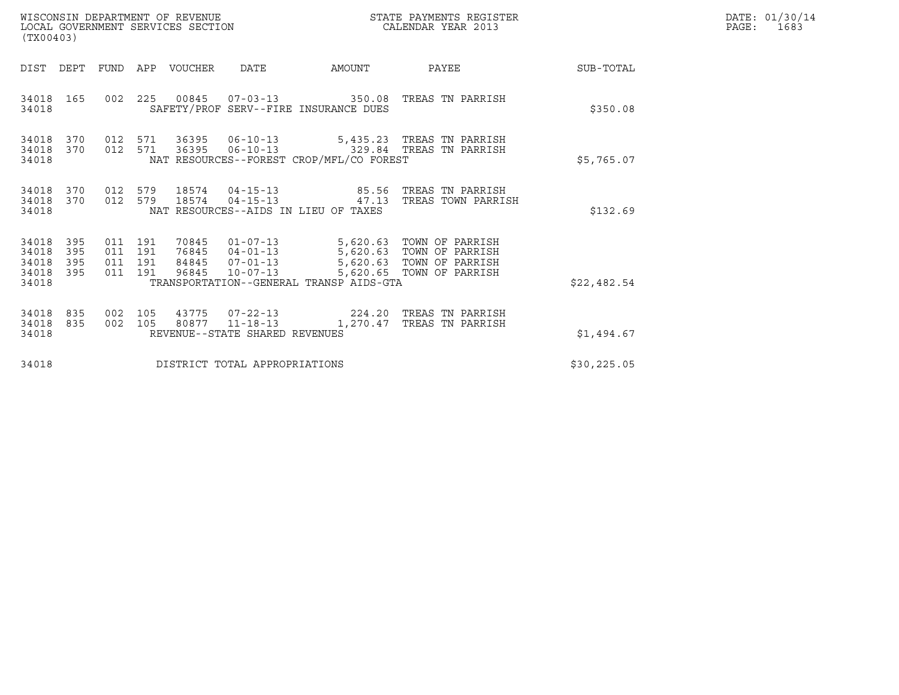| WISCONSIN DEPARTMENT OF REVENUE<br>STATE PAYMENTS REGISTER<br>LOCAL GOVERNMENT SERVICES SECTION<br>CALENDAR YEAR 2013<br>(TX00403) |                          |                                          |  |                            |                                |                                                              |                                                                                                                                                                    |              | DATE: 01/30/14<br>PAGE:<br>1683 |
|------------------------------------------------------------------------------------------------------------------------------------|--------------------------|------------------------------------------|--|----------------------------|--------------------------------|--------------------------------------------------------------|--------------------------------------------------------------------------------------------------------------------------------------------------------------------|--------------|---------------------------------|
|                                                                                                                                    |                          |                                          |  | DIST DEPT FUND APP VOUCHER | DATE                           | AMOUNT                                                       | PAYEE                                                                                                                                                              | SUB-TOTAL    |                                 |
| 34018 165<br>34018                                                                                                                 |                          |                                          |  |                            |                                | SAFETY/PROF SERV--FIRE INSURANCE DUES                        | 002  225  00845  07-03-13  350.08  TREAS TN PARRISH                                                                                                                | \$350.08     |                                 |
| 34018 370 012 571<br>34018<br>34018                                                                                                | 370                      | 012 571                                  |  |                            |                                | NAT RESOURCES--FOREST CROP/MFL/CO FOREST                     | 36395   06-10-13   5,435.23   TREAS   TN PARRISH<br>36395   06-10-13   329.84   TREAS TN PARRISH                                                                   | \$5,765.07   |                                 |
| 34018<br>34018<br>34018                                                                                                            | 370<br>370               | 012 579<br>012 579                       |  | 18574                      |                                | $04 - 15 - 13$ 47.13<br>NAT RESOURCES--AIDS IN LIEU OF TAXES | 18574  04-15-13  85.56  TREAS TN PARRISH<br>TREAS TOWN PARRISH                                                                                                     | \$132.69     |                                 |
| 34018<br>34018<br>34018<br>34018<br>34018                                                                                          | 395<br>395<br>395<br>395 | 011 191<br>011 191<br>011 191<br>011 191 |  | 96845                      | $10 - 07 - 13$                 | TRANSPORTATION--GENERAL TRANSP AIDS-GTA                      | 70845  01-07-13  5,620.63  TOWN OF PARRISH<br>76845  04-01-13  5,620.63  TOWN OF PARRISH<br>84845  07-01-13  5,620.63  TOWN OF PARRISH<br>5,620.65 TOWN OF PARRISH | \$22,482.54  |                                 |
| 34018<br>34018 835<br>34018                                                                                                        | 835                      | 002 105<br>002 105                       |  |                            | REVENUE--STATE SHARED REVENUES |                                                              | 43775  07-22-13  224.20  TREAS TN PARRISH<br>80877  11-18-13  1,270.47  TREAS TN PARRISH                                                                           | \$1,494.67   |                                 |
| 34018                                                                                                                              |                          |                                          |  |                            | DISTRICT TOTAL APPROPRIATIONS  |                                                              |                                                                                                                                                                    | \$30, 225.05 |                                 |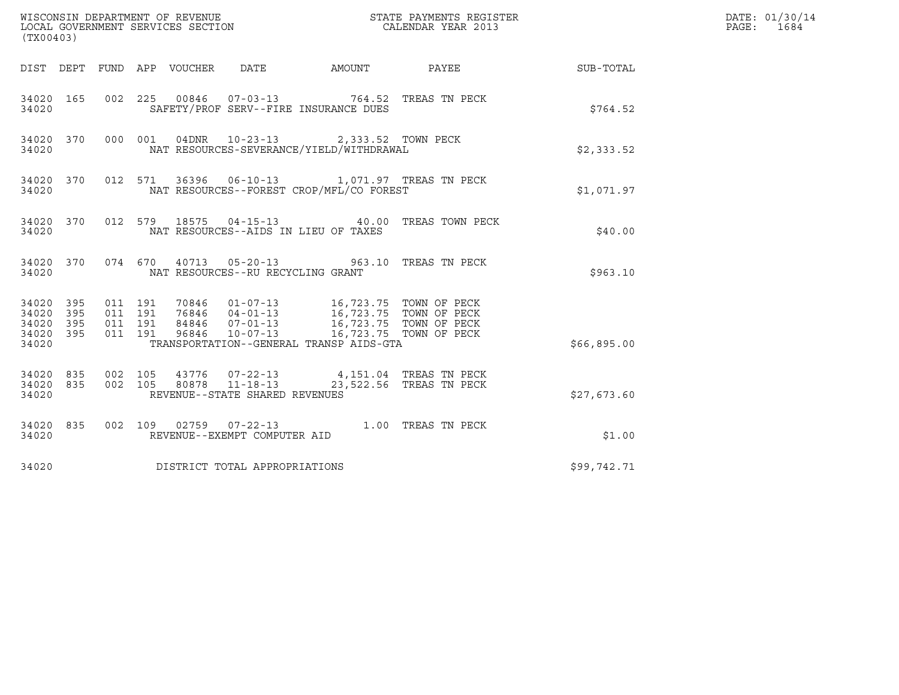| (TX00403)          |  |                                                                                                                                                                                                                                                                                                                                             |             | DATE: 01/30/14<br>PAGE: 1684 |
|--------------------|--|---------------------------------------------------------------------------------------------------------------------------------------------------------------------------------------------------------------------------------------------------------------------------------------------------------------------------------------------|-------------|------------------------------|
|                    |  | DIST DEPT FUND APP VOUCHER DATE AMOUNT PAYEE THE SUB-TOTAL                                                                                                                                                                                                                                                                                  |             |                              |
| 34020 165<br>34020 |  | 002 225 00846 07-03-13 764.52 TREAS TN PECK<br>SAFETY/PROF SERV--FIRE INSURANCE DUES                                                                                                                                                                                                                                                        | \$764.52    |                              |
| 34020              |  | 34020 370 000 001 04DNR 10-23-13 2,333.52 TOWN PECK<br>NAT RESOURCES-SEVERANCE/YIELD/WITHDRAWAL                                                                                                                                                                                                                                             | \$2,333.52  |                              |
| 34020              |  | 34020 370 012 571 36396 06-10-13 1,071.97 TREAS TN PECK<br>NAT RESOURCES--FOREST CROP/MFL/CO FOREST                                                                                                                                                                                                                                         | \$1,071.97  |                              |
| 34020              |  | 34020 370 012 579 18575 04-15-13 40.00 TREAS TOWN PECK<br>NAT RESOURCES--AIDS IN LIEU OF TAXES                                                                                                                                                                                                                                              | \$40.00     |                              |
| 34020              |  | 34020 370 074 670 40713 05-20-13 963.10 TREAS TN PECK<br>NAT RESOURCES--RU RECYCLING GRANT                                                                                                                                                                                                                                                  | \$963.10    |                              |
| 34020              |  | $\begin{array}{cccccccc} 34\,02\,0 & 3\,95 & 011 & 191 & 70\,84\,6 & 01\,07\,071 & 3 & 16\,,723\,.75 & \textrm{TOWN OF PECK} \\ 34\,02\,0 & 3\,95 & 011 & 191 & 76\,84\,6 & 04\,01\,01 & 3 & 16\,,723\,.75 & \textrm{TOWN OF PECK} \\ 34\,02\,0 & 3\,95 & 011 & 191 & 84\,84\,6 & 07\,01\,01 & $<br>TRANSPORTATION--GENERAL TRANSP AIDS-GTA | \$66,895.00 |                              |
| 34020              |  | $\begin{array}{cccc} 34020 & 835 & 002 & 105 & 43776 & 07\text{-}22\text{-}13 & 4,151.04 & \text{TREAS TN PECK} \\ 34020 & 835 & 002 & 105 & 80878 & 11\text{-}18\text{-}13 & 23,522.56 & \text{TREAS TN PECK} \end{array}$<br>REVENUE--STATE SHARED REVENUES                                                                               | \$27,673.60 |                              |
| 34020 835<br>34020 |  | 002 109 02759 07-22-13 1.00 TREAS TN PECK<br>REVENUE--EXEMPT COMPUTER AID                                                                                                                                                                                                                                                                   | \$1.00      |                              |
| 34020              |  | DISTRICT TOTAL APPROPRIATIONS                                                                                                                                                                                                                                                                                                               | \$99,742.71 |                              |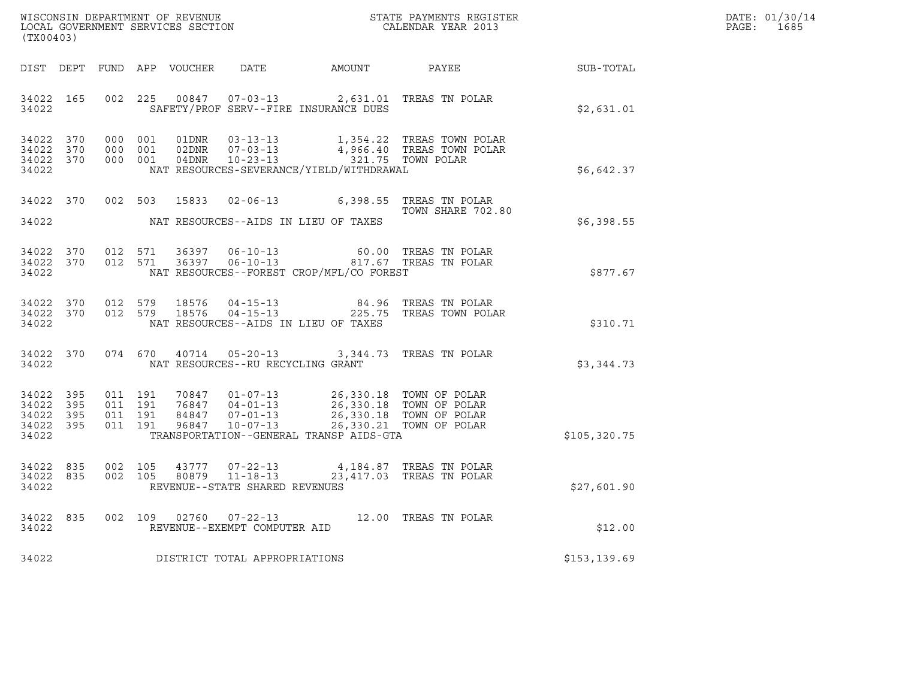| WISCONSIN DEPARTMENT OF REVENUE   | STATE PAYMENTS REGISTER | DATE: 01/30/14 |
|-----------------------------------|-------------------------|----------------|
| LOCAL GOVERNMENT SERVICES SECTION | CALENDAR YEAR 2013      | 1685<br>PAGE:  |

| (TX00403)                                                 |  |  |  |  |                                     |                                                                                                                                                                                                                                                                                                                                                                          |                                                                                                                                                                                    |                                              | DATE: 01/30/14<br>$\mathtt{PAGE}$ :<br>1685 |
|-----------------------------------------------------------|--|--|--|--|-------------------------------------|--------------------------------------------------------------------------------------------------------------------------------------------------------------------------------------------------------------------------------------------------------------------------------------------------------------------------------------------------------------------------|------------------------------------------------------------------------------------------------------------------------------------------------------------------------------------|----------------------------------------------|---------------------------------------------|
| DIST DEPT                                                 |  |  |  |  |                                     |                                                                                                                                                                                                                                                                                                                                                                          |                                                                                                                                                                                    | FUND APP VOUCHER DATE AMOUNT PAYEE SUB-TOTAL |                                             |
| 34022 165<br>34022                                        |  |  |  |  |                                     | SAFETY/PROF SERV--FIRE INSURANCE DUES                                                                                                                                                                                                                                                                                                                                    | 002 225 00847 07-03-13 2,631.01 TREAS TN POLAR                                                                                                                                     | \$2,631.01                                   |                                             |
| 34022 370<br>34022 370<br>34022 370<br>34022              |  |  |  |  |                                     | NAT RESOURCES-SEVERANCE/YIELD/WITHDRAWAL                                                                                                                                                                                                                                                                                                                                 | 000 001 01DNR 03-13-13 1,354.22 TREAS TOWN POLAR<br>000 001 02DNR 07-03-13 4,966.40 TREAS TOWN POLAR<br>000 001 04DNR 10-23-13 1,321.75 TOWN POLAR                                 | \$6,642.37                                   |                                             |
| 34022                                                     |  |  |  |  |                                     | NAT RESOURCES--AIDS IN LIEU OF TAXES                                                                                                                                                                                                                                                                                                                                     | 34022 370 002 503 15833 02-06-13 6,398.55 TREAS TN POLAR<br>TOWN SHARE 702.80                                                                                                      | \$6,398.55                                   |                                             |
| 34022                                                     |  |  |  |  |                                     | NAT RESOURCES--FOREST CROP/MFL/CO FOREST                                                                                                                                                                                                                                                                                                                                 | $\begin{array}{cccccccc} 34022& 370& 012& 571& 36397& 06-10-13& 60.00 & \text{TREAS TN POLAR}\\ 34022& 370& 012& 571& 36397& 06-10-13& 817.67 & \text{TREAS TN POLAR} \end{array}$ | \$877.67                                     |                                             |
| 34022                                                     |  |  |  |  |                                     | NAT RESOURCES--AIDS IN LIEU OF TAXES                                                                                                                                                                                                                                                                                                                                     | $34022$ 370 012 579 18576 04-15-13 84.96 TREAS TN POLAR 34022 370 012 579 18576 04-15-13 225.75 TREAS TOWN POLAR                                                                   | \$310.71                                     |                                             |
| 34022                                                     |  |  |  |  |                                     | NAT RESOURCES--RU RECYCLING GRANT                                                                                                                                                                                                                                                                                                                                        | 34022 370 074 670 40714 05-20-13 3,344.73 TREAS TN POLAR                                                                                                                           | \$3,344.73                                   |                                             |
| 34022 395<br>34022 395<br>34022 395<br>34022 395<br>34022 |  |  |  |  |                                     | $\begin{array}{cccccc} 011 & 191 & 70847 & 01-07-13 & 26,330.18 & \text{TOWN OF POLAR} \\ 011 & 191 & 76847 & 04-01-13 & 26,330.18 & \text{TOWN OF POLAR} \\ 011 & 191 & 84847 & 07-01-13 & 26,330.18 & \text{TOWN OF POLAR} \\ 011 & 191 & 96847 & 10-07-13 & 26,330.21 & \text{TOWN OF POLAR} \\ 011 & 191 & 96847 & 10-07$<br>TRANSPORTATION--GENERAL TRANSP AIDS-GTA |                                                                                                                                                                                    | \$105, 320.75                                |                                             |
| 34022 835<br>34022 835<br>34022                           |  |  |  |  | REVENUE--STATE SHARED REVENUES      |                                                                                                                                                                                                                                                                                                                                                                          | 002 105 43777 07-22-13 4,184.87 TREAS TN POLAR<br>002 105 80879 11-18-13 23,417.03 TREAS TN POLAR                                                                                  | \$27,601.90                                  |                                             |
|                                                           |  |  |  |  | 34022 REVENUE--EXEMPT COMPUTER AID  |                                                                                                                                                                                                                                                                                                                                                                          | 34022 835 002 109 02760 07-22-13 12.00 TREAS TN POLAR                                                                                                                              | \$12.00                                      |                                             |
|                                                           |  |  |  |  | 34022 DISTRICT TOTAL APPROPRIATIONS |                                                                                                                                                                                                                                                                                                                                                                          |                                                                                                                                                                                    | \$153,139.69                                 |                                             |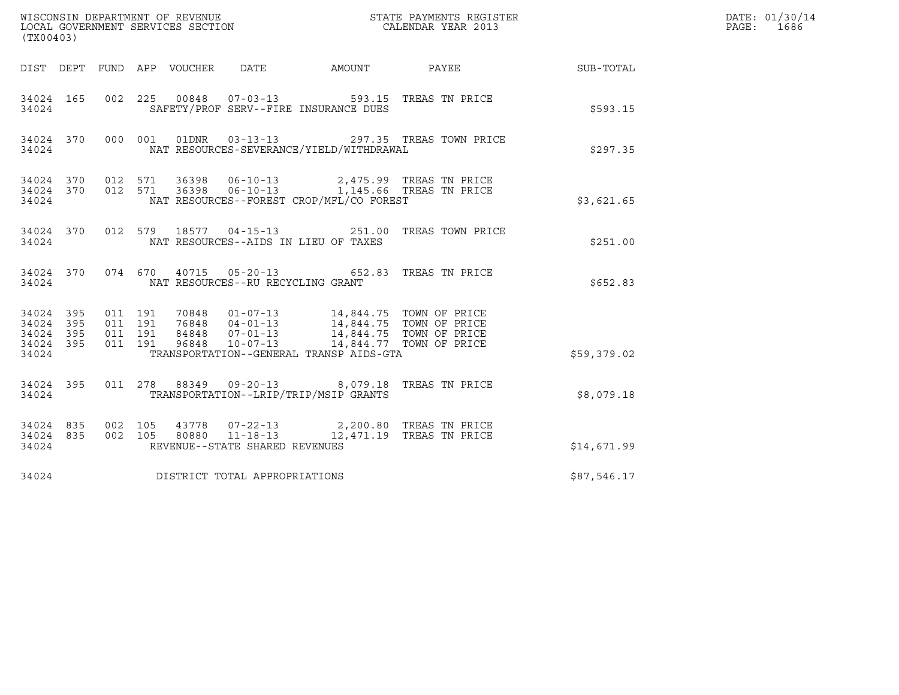| (TX00403)                                                          |                                          |                                 |                                      |                                          | $\tt WISCONSIM DEPARTMENT OF REVENUE$ $\tt WISCONMIN S REGISTER$ $\tt LOCAL BONERNMENT$ $SERVICES$ $SECTION$                                                                     |             | DATE: 01/30/14<br>PAGE: 1686 |
|--------------------------------------------------------------------|------------------------------------------|---------------------------------|--------------------------------------|------------------------------------------|----------------------------------------------------------------------------------------------------------------------------------------------------------------------------------|-------------|------------------------------|
|                                                                    |                                          | DIST DEPT FUND APP VOUCHER DATE |                                      |                                          | AMOUNT PAYEE                                                                                                                                                                     | SUB-TOTAL   |                              |
| 34024 165<br>34024                                                 |                                          |                                 |                                      | SAFETY/PROF SERV--FIRE INSURANCE DUES    | 002  225  00848  07-03-13  593.15  TREAS TN PRICE                                                                                                                                | \$593.15    |                              |
| 34024                                                              |                                          |                                 |                                      | NAT RESOURCES-SEVERANCE/YIELD/WITHDRAWAL | 34024 370 000 001 01DNR 03-13-13 297.35 TREAS TOWN PRICE                                                                                                                         | \$297.35    |                              |
| 34024                                                              |                                          |                                 |                                      | NAT RESOURCES--FOREST CROP/MFL/CO FOREST | $34024$ 370 012 571 36398 06-10-13 2,475.99 TREAS TN PRICE<br>34024 370 012 571 36398 06-10-13 1,145.66 TREAS TN PRICE                                                           | \$3,621.65  |                              |
| 34024 370<br>34024                                                 |                                          |                                 | NAT RESOURCES--AIDS IN LIEU OF TAXES |                                          | 012 579 18577 04-15-13 251.00 TREAS TOWN PRICE                                                                                                                                   | \$251.00    |                              |
| 34024 370<br>34024                                                 |                                          |                                 | NAT RESOURCES--RU RECYCLING GRANT    |                                          | 074 670 40715 05-20-13 652.83 TREAS TN PRICE                                                                                                                                     | \$652.83    |                              |
| 34024 395<br>395<br>34024<br>395<br>34024<br>395<br>34024<br>34024 | 011 191<br>011 191<br>011 191<br>011 191 |                                 |                                      | TRANSPORTATION--GENERAL TRANSP AIDS-GTA  | 70848  01-07-13  14,844.75  TOWN OF PRICE<br>76848  04-01-13  14,844.75  TOWN OF PRICE<br>84848  07-01-13  14,844.75  TOWN OF PRICE<br>96848  10-07-13  14,844.77  TOWN OF PRICE | \$59,379.02 |                              |
| 34024 395<br>34024                                                 |                                          |                                 |                                      | TRANSPORTATION--LRIP/TRIP/MSIP GRANTS    | 011  278  88349  09-20-13  8,079.18  TREAS TN PRICE                                                                                                                              | \$8,079.18  |                              |
| 34024 835<br>34024 835<br>34024                                    |                                          |                                 | REVENUE--STATE SHARED REVENUES       |                                          | 002 105 43778 07-22-13 2,200.80 TREAS TN PRICE<br>002 105 80880 11-18-13 12,471.19 TREAS TN PRICE                                                                                | \$14,671.99 |                              |
| 34024                                                              |                                          | DISTRICT TOTAL APPROPRIATIONS   |                                      |                                          |                                                                                                                                                                                  | \$87,546.17 |                              |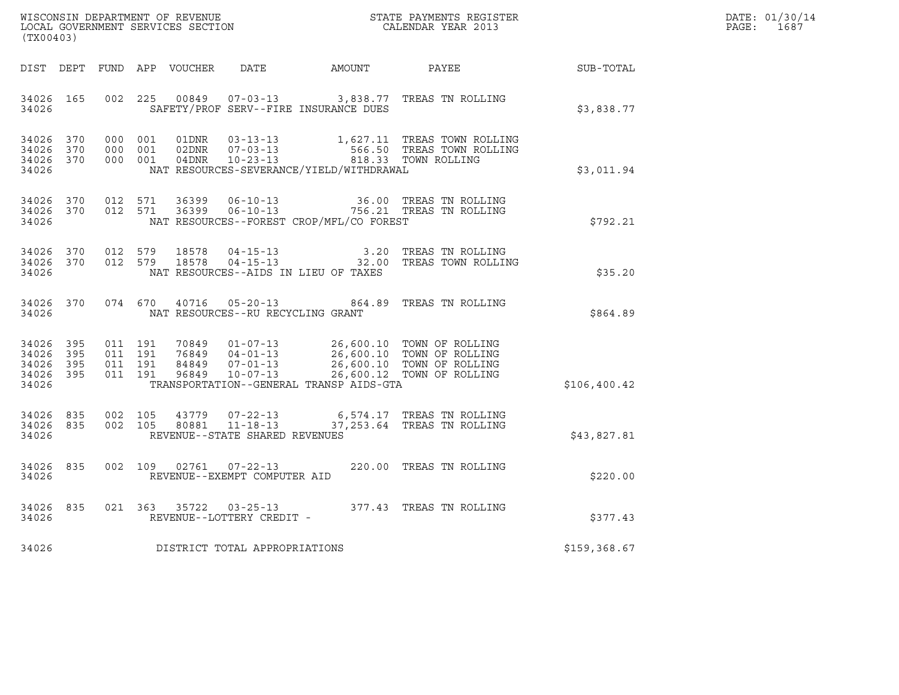| WISCONSIN DEPARTMENT OF REVENUE   | STATE PAYMENTS REGISTER | DATE: 01/30/14 |
|-----------------------------------|-------------------------|----------------|
| LOCAL GOVERNMENT SERVICES SECTION | CALENDAR YEAR 2013      | PAGE :<br>1687 |

| (TX00403)                                 |                          |  |  |  |                                   |                                              |                                                                                                                                                                                                                                                                                                                                                             |              | DATE: 01/30/14<br>PAGE: 1687 |
|-------------------------------------------|--------------------------|--|--|--|-----------------------------------|----------------------------------------------|-------------------------------------------------------------------------------------------------------------------------------------------------------------------------------------------------------------------------------------------------------------------------------------------------------------------------------------------------------------|--------------|------------------------------|
|                                           |                          |  |  |  |                                   | DIST DEPT FUND APP VOUCHER DATE AMOUNT PAYEE |                                                                                                                                                                                                                                                                                                                                                             | SUB-TOTAL    |                              |
| 34026 165<br>34026                        |                          |  |  |  |                                   | SAFETY/PROF SERV--FIRE INSURANCE DUES        | 002 225 00849 07-03-13 3,838.77 TREAS TN ROLLING                                                                                                                                                                                                                                                                                                            | \$3,838.77   |                              |
| 34026                                     |                          |  |  |  |                                   | NAT RESOURCES-SEVERANCE/YIELD/WITHDRAWAL     | $\begin{tabular}{cccccc} 34026 & 370 & 000 & 001 & 01DNR & 03-13-13 & & 1,627.11 \end{tabular} \begin{tabular}{cccccc} 34026 & 370 & 000 & 001 & 02DNR & 07-03-13 & & 566.50 \end{tabular} \end{tabular} \begin{tabular}{cccccc} 34026 & 370 & 000 & 001 & 02DNR & 07-03-13 & & 566.50 \end{tabular} \end{tabular} \begin{tabular}{cccccc} 34026 & 370 & 0$ | \$3,011.94   |                              |
| 34026                                     |                          |  |  |  |                                   | NAT RESOURCES--FOREST CROP/MFL/CO FOREST     | 34026 370 012 571 36399 06-10-13 36.00 TREAS TN ROLLING<br>34026 370 012 571 36399 06-10-13 756.21 TREAS TN ROLLING                                                                                                                                                                                                                                         | \$792.21     |                              |
| 34026                                     |                          |  |  |  |                                   | NAT RESOURCES--AIDS IN LIEU OF TAXES         | 34026 370 012 579 18578 04-15-13 3.20 TREAS TN ROLLING<br>34026 370 012 579 18578 04-15-13 32.00 TREAS TOWN ROLLING                                                                                                                                                                                                                                         | \$35.20      |                              |
| 34026                                     |                          |  |  |  | NAT RESOURCES--RU RECYCLING GRANT |                                              | 34026 370 074 670 40716 05-20-13 864.89 TREAS TN ROLLING                                                                                                                                                                                                                                                                                                    | \$864.89     |                              |
| 34026<br>34026<br>34026<br>34026<br>34026 | 395<br>395<br>395<br>395 |  |  |  |                                   | TRANSPORTATION--GENERAL TRANSP AIDS-GTA      | 011 191 70849 01-07-13 26,600.10 TOWN OF ROLLING<br>011 191 76849 04-01-13 26,600.10 TOWN OF ROLLING<br>011 191 84849 07-01-13 26,600.10 TOWN OF ROLLING<br>011 191 96849 10-07-13 26,600.12 TOWN OF ROLLING                                                                                                                                                | \$106,400.42 |                              |
| 34026 835<br>34026                        |                          |  |  |  | REVENUE--STATE SHARED REVENUES    |                                              | 34026 835 002 105 43779 07-22-13 6,574.17 TREAS TN ROLLING<br>002 105 80881 11-18-13 37, 253.64 TREAS TN ROLLING                                                                                                                                                                                                                                            | \$43,827.81  |                              |
| 34026                                     |                          |  |  |  | REVENUE--EXEMPT COMPUTER AID      |                                              | 34026 835 002 109 02761 07-22-13 220.00 TREAS TN ROLLING                                                                                                                                                                                                                                                                                                    | \$220.00     |                              |
| 34026                                     |                          |  |  |  | REVENUE--LOTTERY CREDIT -         |                                              | 34026 835 021 363 35722 03-25-13 377.43 TREAS TN ROLLING                                                                                                                                                                                                                                                                                                    | \$377.43     |                              |
| 34026                                     |                          |  |  |  | DISTRICT TOTAL APPROPRIATIONS     |                                              |                                                                                                                                                                                                                                                                                                                                                             | \$159,368.67 |                              |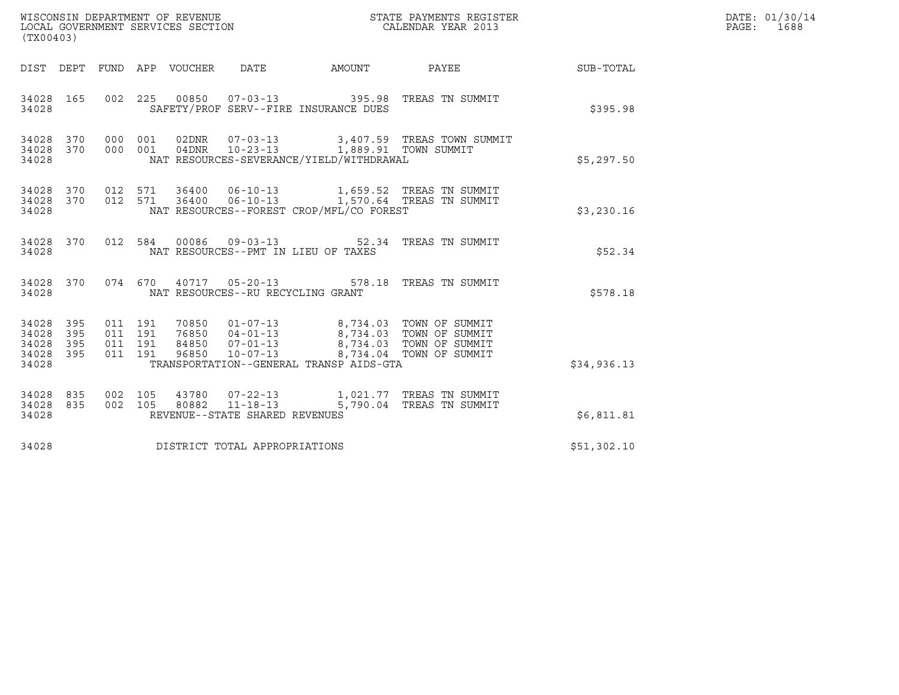| (TX00403)                                 |                          |                                          |         | WISCONSIN DEPARTMENT OF REVENUE<br>LOCAL GOVERNMENT SERVICES SECTION |                                                  | STATE PAYMENTS REGISTER<br>CALENDAR YEAR 2013                                                                                                                                                                               |                                                                                         |                  | DATE: 01/30/14<br>PAGE: 1688 |
|-------------------------------------------|--------------------------|------------------------------------------|---------|----------------------------------------------------------------------|--------------------------------------------------|-----------------------------------------------------------------------------------------------------------------------------------------------------------------------------------------------------------------------------|-----------------------------------------------------------------------------------------|------------------|------------------------------|
|                                           |                          |                                          |         | DIST DEPT FUND APP VOUCHER DATE                                      |                                                  | AMOUNT                                                                                                                                                                                                                      | <b>PAYEE</b>                                                                            | <b>SUB-TOTAL</b> |                              |
| 34028 165<br>34028                        |                          | 002 225                                  |         |                                                                      |                                                  | SAFETY/PROF SERV--FIRE INSURANCE DUES                                                                                                                                                                                       |                                                                                         | \$395.98         |                              |
| 34028<br>34028<br>34028                   | 370<br>370               | 000<br>000 001                           | 001     | 04DNR                                                                |                                                  | 10-23-13 1,889.91 TOWN SUMMIT<br>NAT RESOURCES-SEVERANCE/YIELD/WITHDRAWAL                                                                                                                                                   | 02DNR  07-03-13  3,407.59  TREAS TOWN SUMMIT                                            | \$5,297.50       |                              |
| 34028<br>34028<br>34028                   | 370                      | 370 012 571                              | 012 571 |                                                                      |                                                  | NAT RESOURCES--FOREST CROP/MFL/CO FOREST                                                                                                                                                                                    | 36400  06-10-13  1,659.52  TREAS TN SUMMIT<br>36400  06-10-13  1,570.64 TREAS TN SUMMIT | \$3,230.16       |                              |
| 34028 370<br>34028                        |                          | 012 584                                  |         |                                                                      |                                                  | NAT RESOURCES--PMT IN LIEU OF TAXES                                                                                                                                                                                         | 00086  09-03-13  52.34  TREAS TN SUMMIT                                                 | \$52.34          |                              |
| 34028 370<br>34028                        |                          |                                          |         |                                                                      | NAT RESOURCES--RU RECYCLING GRANT                |                                                                                                                                                                                                                             | 074  670  40717  05-20-13  578.18  TREAS TN SUMMIT                                      | \$578.18         |                              |
| 34028<br>34028<br>34028<br>34028<br>34028 | 395<br>395<br>395<br>395 | 011 191<br>011 191<br>011 191<br>011 191 |         |                                                                      |                                                  | 70850  01-07-13  8,734.03  TOWN OF SUMMIT<br>76850  04-01-13  8,734.03  TOWN OF SUMMIT<br>84850  07-01-13  8,734.03  TOWN OF SUMMIT<br>96850  10-07-13  8,734.04  TOWN OF SUMMIT<br>TRANSPORTATION--GENERAL TRANSP AIDS-GTA |                                                                                         | \$34,936.13      |                              |
| 34028<br>34028<br>34028                   | 835<br>835               | 002 105<br>002 105                       |         |                                                                      | 80882 11-18-13<br>REVENUE--STATE SHARED REVENUES |                                                                                                                                                                                                                             | 43780  07-22-13   1,021.77   TREAS TN SUMMIT<br>5,790.04 TREAS TN SUMMIT                | \$6,811.81       |                              |
| 34028                                     |                          |                                          |         |                                                                      | DISTRICT TOTAL APPROPRIATIONS                    |                                                                                                                                                                                                                             |                                                                                         | \$51,302.10      |                              |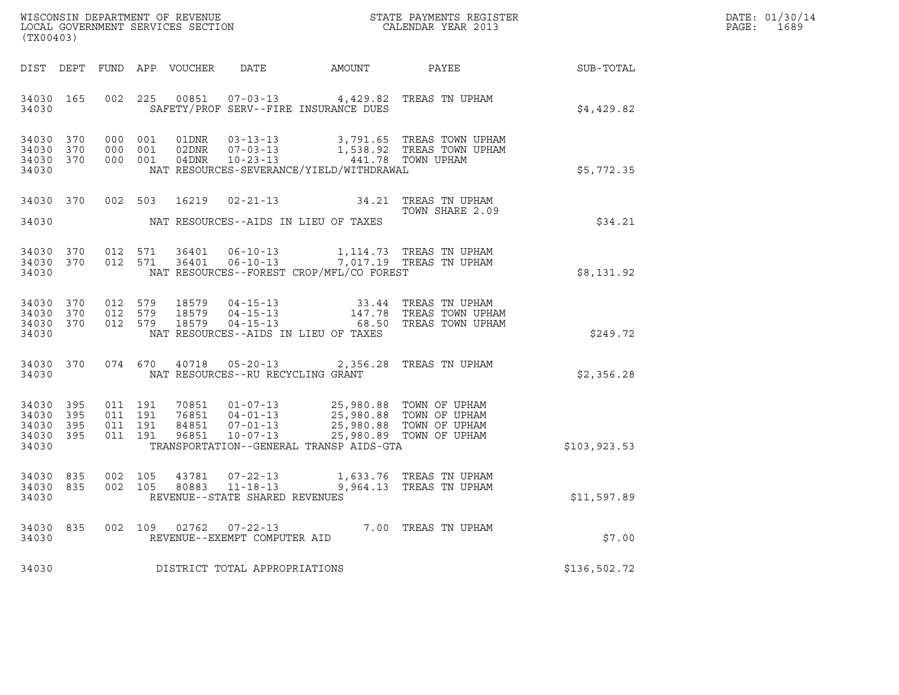| WISCONSIN DEPARTMENT OF REVENUE   | STATE PAYMENTS REGISTER | DATE: 01/30/14 |
|-----------------------------------|-------------------------|----------------|
| LOCAL GOVERNMENT SERVICES SECTION | CALENDAR YEAR 2013      | 1689<br>PAGE : |

|                                           | WISCONSIN DEPARTMENT OF REVENUE<br>STATE PAYMENTS REGISTER<br>LOCAL GOVERNMENT SERVICES SECTION<br>CALENDAR YEAR 2013<br>(TX00403) |                          |                          |                                  |                                                                      |                                                                  |                                                                                                |               |
|-------------------------------------------|------------------------------------------------------------------------------------------------------------------------------------|--------------------------|--------------------------|----------------------------------|----------------------------------------------------------------------|------------------------------------------------------------------|------------------------------------------------------------------------------------------------|---------------|
| DIST                                      | DEPT                                                                                                                               | FUND APP                 |                          | VOUCHER DATE                     |                                                                      | <b>AMOUNT</b>                                                    | PAYEE                                                                                          | SUB-TOTAL     |
| 34030<br>34030                            | 165                                                                                                                                | 002                      | 225                      | 00851                            | $07 - 03 - 13$                                                       | SAFETY/PROF SERV--FIRE INSURANCE DUES                            | 4,429.82 TREAS TN UPHAM                                                                        | \$4,429.82    |
| 34030<br>34030<br>34030<br>34030          | 370<br>370<br>370                                                                                                                  | 000<br>000<br>000        | 001<br>001<br>001        | 01DNR<br>02DNR<br>04DNR          | $03 - 13 - 13$<br>$07 - 03 - 13$<br>10-23-13                         | NAT RESOURCES-SEVERANCE/YIELD/WITHDRAWAL                         | 3,791.65 TREAS TOWN UPHAM<br>1,538.92 TREAS TOWN UPHAM<br>441.78 TOWN UPHAM                    | \$5,772.35    |
| 34030                                     | 370                                                                                                                                |                          | 002 503                  | 16219                            | $02 - 21 - 13$                                                       | 34.21                                                            | TREAS TN UPHAM<br>TOWN SHARE 2.09                                                              |               |
| 34030                                     |                                                                                                                                    |                          |                          |                                  |                                                                      | NAT RESOURCES--AIDS IN LIEU OF TAXES                             |                                                                                                | \$34.21       |
| 34030<br>34030<br>34030                   | 370<br>370                                                                                                                         | 012<br>012               | 571<br>571               | 36401<br>36401                   | $06 - 10 - 13$<br>$06 - 10 - 13$                                     | 1,114.73<br>NAT RESOURCES--FOREST CROP/MFL/CO FOREST             | TREAS TN UPHAM<br>7,017.19 TREAS TN UPHAM                                                      | \$8,131.92    |
| 34030<br>34030<br>34030<br>34030          | 370<br>370<br>370                                                                                                                  | 012<br>012<br>012        | 579<br>579<br>579        | 18579<br>18579<br>18579          | $04 - 15 - 13$<br>$04 - 15 - 13$<br>04-15-13                         | 33.44<br>147.78<br>68.50<br>NAT RESOURCES--AIDS IN LIEU OF TAXES | TREAS TN UPHAM<br>TREAS TOWN UPHAM<br>TREAS TOWN UPHAM                                         | \$249.72      |
| 34030<br>34030                            | 370                                                                                                                                |                          | 074 670                  | 40718                            | $05 - 20 - 13$<br>NAT RESOURCES--RU RECYCLING GRANT                  | 2,356.28                                                         | TREAS TN UPHAM                                                                                 | \$2,356.28    |
| 34030<br>34030<br>34030<br>34030<br>34030 | 395<br>395<br>395<br>395                                                                                                           | 011<br>011<br>011<br>011 | 191<br>191<br>191<br>191 | 70851<br>76851<br>84851<br>96851 | $01 - 07 - 13$<br>$04 - 01 - 13$<br>$07 - 01 - 13$<br>$10 - 07 - 13$ | 25,980.89<br>TRANSPORTATION--GENERAL TRANSP AIDS-GTA             | 25,980.88 TOWN OF UPHAM<br>25,980.88 TOWN OF UPHAM<br>25,980.88 TOWN OF UPHAM<br>TOWN OF UPHAM | \$103, 923.53 |
| 34030<br>34030<br>34030                   | 835<br>835                                                                                                                         | 002<br>002               | 105<br>105               | 43781<br>80883                   | $07 - 22 - 13$<br>11-18-13<br>REVENUE--STATE SHARED REVENUES         | 9,964.13                                                         | 1,633.76 TREAS TN UPHAM<br>TREAS TN UPHAM                                                      | \$11,597.89   |
| 34030<br>34030                            | 835                                                                                                                                | 002                      | 109                      | 02762                            | $07 - 22 - 13$<br>REVENUE--EXEMPT COMPUTER AID                       |                                                                  | $ -$ 7.00 TREAS TN UPHAM                                                                       | \$7.00        |
| 34030                                     |                                                                                                                                    |                          |                          |                                  | DISTRICT TOTAL APPROPRIATIONS                                        |                                                                  |                                                                                                | \$136,502.72  |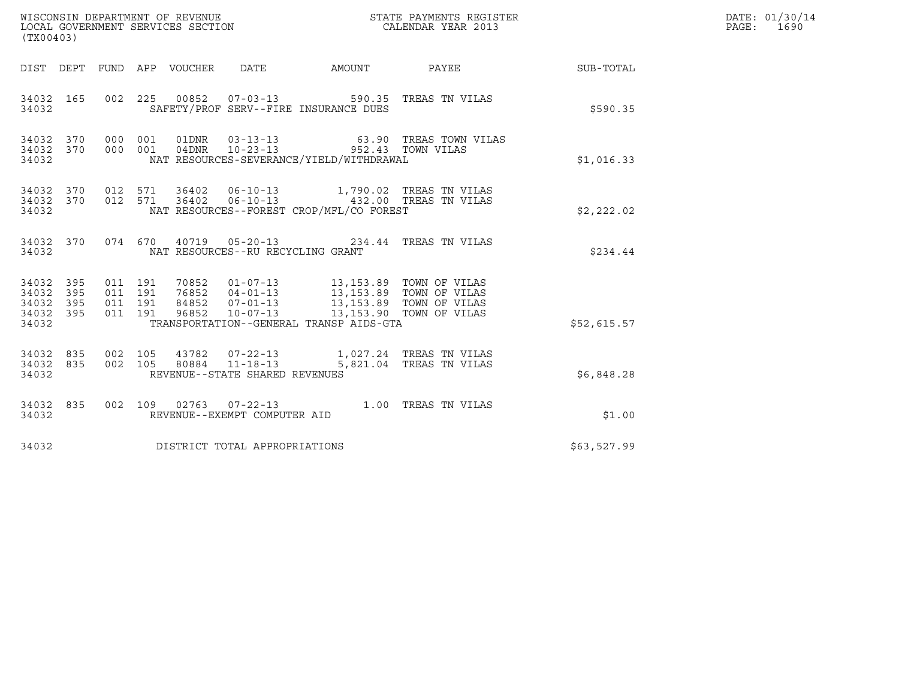| $\tt WISCONSIM DEPARTMENT OF REVENUE$ $\tt WISCONMIN SERS THE RUSTER$<br>LOCAL GOVERNMENT SERVICES SECTION $\tt CALENDAR$<br>YEAR 2013<br>(TX00403) |            |                               |         |                                 |                                                  |                                                                                                                                                   |                                         | DATE: 01/30/14<br>PAGE: 1690 |  |
|-----------------------------------------------------------------------------------------------------------------------------------------------------|------------|-------------------------------|---------|---------------------------------|--------------------------------------------------|---------------------------------------------------------------------------------------------------------------------------------------------------|-----------------------------------------|------------------------------|--|
|                                                                                                                                                     |            |                               |         | DIST DEPT FUND APP VOUCHER DATE |                                                  |                                                                                                                                                   | AMOUNT PAYEE SUB-TOTAL                  |                              |  |
| 34032 165<br>34032                                                                                                                                  |            |                               |         |                                 |                                                  | 002 225 00852 07-03-13 590.35 TREAS TN VILAS<br>SAFETY/PROF SERV--FIRE INSURANCE DUES                                                             |                                         | \$590.35                     |  |
| 34032 370<br>34032 370<br>34032                                                                                                                     |            | 000 001<br>000 001            |         |                                 |                                                  | 04DNR  10-23-13  952.43  TOWN VILAS<br>NAT RESOURCES-SEVERANCE/YIELD/WITHDRAWAL                                                                   | 01DNR  03-13-13  63.90 TREAS TOWN VILAS | \$1,016.33                   |  |
| 34032 370<br>34032                                                                                                                                  |            |                               | 012 571 |                                 |                                                  | 34032 370 012 571 36402 06-10-13 1,790.02 TREAS TN VILAS<br>36402   06-10-13    432.00 TREAS TN VILAS<br>NAT RESOURCES--FOREST CROP/MFL/CO FOREST |                                         | \$2,222.02                   |  |
| 34032 370<br>34032                                                                                                                                  |            |                               |         |                                 | NAT RESOURCES--RU RECYCLING GRANT                | 074 670 40719 05-20-13 234.44 TREAS TN VILAS                                                                                                      |                                         | \$234.44                     |  |
| 34032 395<br>34032<br>34032<br>34032 395<br>34032                                                                                                   | 395<br>395 | 011 191<br>011 191<br>011 191 | 011 191 |                                 |                                                  | TRANSPORTATION--GENERAL TRANSP AIDS-GTA                                                                                                           |                                         | \$52,615.57                  |  |
| 34032<br>34032 835<br>34032                                                                                                                         | 835        | 002 105<br>002 105            |         |                                 | 80884 11-18-13<br>REVENUE--STATE SHARED REVENUES | 43782  07-22-13   1,027.24   TREAS TN VILAS                                                                                                       | 5,821.04 TREAS TN VILAS                 | \$6,848.28                   |  |
| 34032 835<br>34032                                                                                                                                  |            |                               |         |                                 | REVENUE--EXEMPT COMPUTER AID                     | 002 109 02763 07-22-13 1.00 TREAS TN VILAS                                                                                                        |                                         | \$1.00                       |  |
| 34032                                                                                                                                               |            |                               |         |                                 | DISTRICT TOTAL APPROPRIATIONS                    |                                                                                                                                                   |                                         | \$63,527.99                  |  |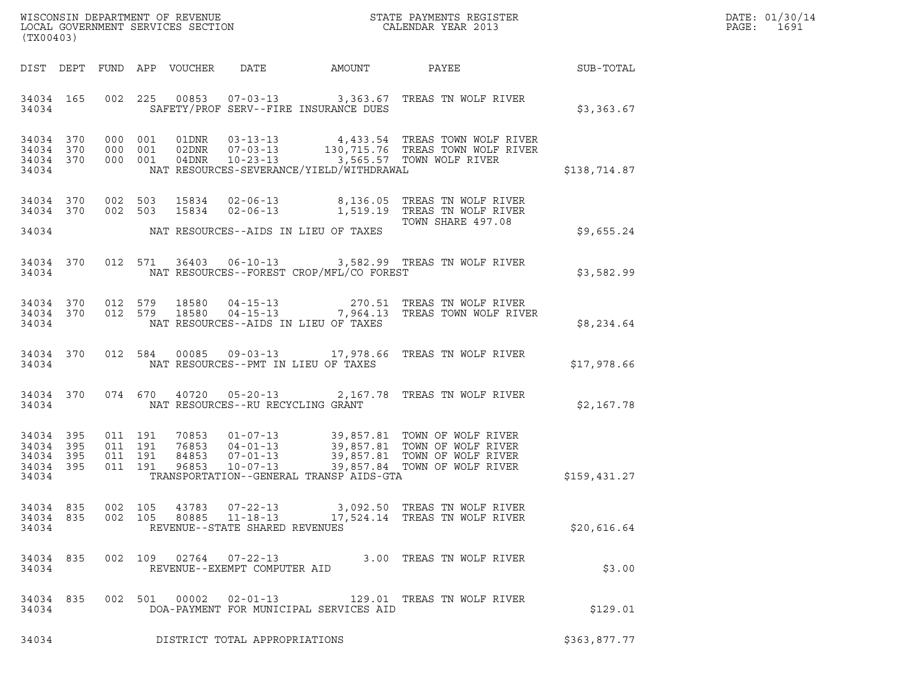| DATE: | 01/30/14 |
|-------|----------|
| PAGE: | 1691     |

| (TX00403)                                                 |  |                                                                                                                                                                                                                                                                                             |              | DATE: 01/30/14<br>PAGE: 1691 |
|-----------------------------------------------------------|--|---------------------------------------------------------------------------------------------------------------------------------------------------------------------------------------------------------------------------------------------------------------------------------------------|--------------|------------------------------|
|                                                           |  | DIST DEPT FUND APP VOUCHER DATE AMOUNT PAYEE PAYER SUB-TOTAL                                                                                                                                                                                                                                |              |                              |
| 34034                                                     |  | 34034 165 002 225 00853 07-03-13 3,363.67 TREAS TN WOLF RIVER<br>SAFETY/PROF SERV--FIRE INSURANCE DUES                                                                                                                                                                                      | \$3,363.67   |                              |
| 34034 370<br>34034 370<br>34034 370<br>34034              |  | 000 001 01DNR 03-13-13 4,433.54 TREAS TOWN WOLF RIVER<br>000 001 02DNR 07-03-13 130,715.76 TREAS TOWN WOLF RIVER<br>000 001 04DNR 10-23-13 3,565.57 TOWN WOLF RIVER<br>NAT RESOURCES-SEVERANCE/YIELD/WITHDRAWAL                                                                             | \$138,714.87 |                              |
| 34034 370                                                 |  | 34034 370 002 503 15834 02-06-13 8,136.05 TREAS TN WOLF RIVER<br>002 503 15834 02-06-13 1,519.19 TREAS TN WOLF RIVER                                                                                                                                                                        |              |                              |
|                                                           |  | TOWN SHARE 497.08                                                                                                                                                                                                                                                                           | \$9,655.24   |                              |
| 34034                                                     |  | 34034 370 012 571 36403 06-10-13 3,582.99 TREAS TN WOLF RIVER<br>NAT RESOURCES--FOREST CROP/MFL/CO FOREST                                                                                                                                                                                   | \$3,582.99   |                              |
| 34034                                                     |  | 34034 370 012 579 18580 04-15-13 270.51 TREAS TN WOLF RIVER 34034 370 012 579 18580 04-15-13 7,964.13 TREAS TOWN WOLF RIVER<br>NAT RESOURCES--AIDS IN LIEU OF TAXES                                                                                                                         | \$8,234.64   |                              |
|                                                           |  | 34034 370 012 584 00085 09-03-13 17,978.66 TREAS TN WOLF RIVER<br>34034 NAT RESOURCES--PMT IN LIEU OF TAXES                                                                                                                                                                                 | \$17,978.66  |                              |
|                                                           |  | 34034 370 074 670 40720 05-20-13 2,167.78 TREAS TN WOLF RIVER<br>34034 NAT RESOURCES--RU RECYCLING GRANT                                                                                                                                                                                    | \$2,167.78   |                              |
| 34034 395<br>34034 395<br>34034 395<br>34034 395<br>34034 |  | 70853  01-07-13  39,857.81  TOWN OF WOLF RIVER<br>76853  04-01-13  39,857.81  TOWN OF WOLF RIVER<br>84853  07-01-13  39,857.81  TOWN OF WOLF RIVER<br>96853  10-07-13  39,857.84  TOWN OF WOLF RIVER<br>011 191<br>011 191<br>011 191<br>011 191<br>TRANSPORTATION--GENERAL TRANSP AIDS-GTA | \$159,431.27 |                              |
| 34034 835<br>34034 835<br>34034                           |  | $07 - 22 - 13$<br>002 105<br>43783<br>3,092.50 TREAS TN WOLF RIVER<br>$11 - 18 - 13$<br>002 105<br>80885<br>17,524.14 TREAS TN WOLF RIVER<br>REVENUE--STATE SHARED REVENUES                                                                                                                 | \$20,616.64  |                              |
| 34034 835<br>34034                                        |  | 02764 07-22-13<br>3.00 TREAS TN WOLF RIVER<br>002 109<br>REVENUE--EXEMPT COMPUTER AID                                                                                                                                                                                                       | \$3.00       |                              |
| 34034 835<br>34034                                        |  | 002 501<br>00002<br>$02 - 01 - 13$<br>129.01 TREAS TN WOLF RIVER<br>DOA-PAYMENT FOR MUNICIPAL SERVICES AID                                                                                                                                                                                  | \$129.01     |                              |
| 34034                                                     |  | DISTRICT TOTAL APPROPRIATIONS                                                                                                                                                                                                                                                               | \$363,877.77 |                              |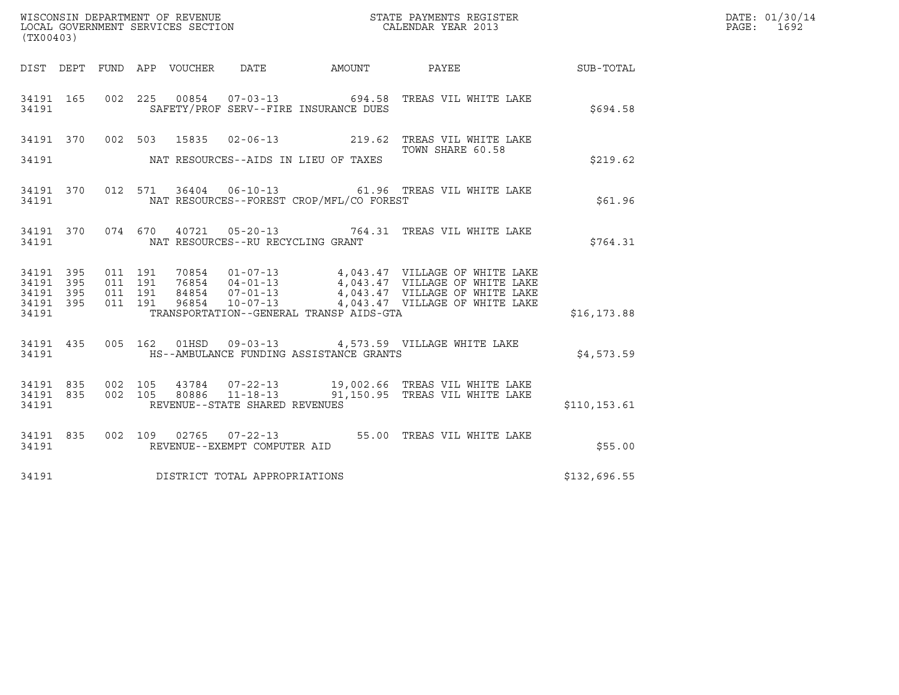| WISCONSIN DEPARTMENT OF REVENUE   | STATE PAYMENTS REGISTER | DATE: 01/30/14 |
|-----------------------------------|-------------------------|----------------|
| LOCAL GOVERNMENT SERVICES SECTION | CALENDAR YEAR 2013      | 1692<br>PAGE:  |

| (TX00403)                                                 |  | WISCONSIN DEPARTMENT OF REVENUE<br>LOCAL GOVERNMENT SERVICES SECTION FOR THE STATE PAYMENTS REGISTER<br>(TX00403)                                                                                                                                                           | $\mathbb{R}^n$   | DATE: 01/30/14<br>PAGE: 1692 |  |
|-----------------------------------------------------------|--|-----------------------------------------------------------------------------------------------------------------------------------------------------------------------------------------------------------------------------------------------------------------------------|------------------|------------------------------|--|
|                                                           |  | DIST DEPT FUND APP VOUCHER DATE AMOUNT PAYEE SUB-TOTAL                                                                                                                                                                                                                      |                  |                              |  |
|                                                           |  | 34191 165 002 225 00854 07-03-13 694.58 TREAS VIL WHITE LAKE<br>34191 SAFETY/PROF SERV--FIRE INSURANCE DUES                                                                                                                                                                 |                  | \$694.58                     |  |
|                                                           |  | 34191 370 002 503 15835 02-06-13 219.62 TREAS VIL WHITE LAKE<br>34191 NAT RESOURCES--AIDS IN LIEU OF TAXES                                                                                                                                                                  | TOWN SHARE 60.58 | \$219.62                     |  |
|                                                           |  | 34191 370 012 571 36404 06-10-13 61.96 TREAS VIL WHITE LAKE<br>34191 NAT RESOURCES--FOREST CROP/MFL/CO FOREST                                                                                                                                                               |                  | \$61.96                      |  |
|                                                           |  | 34191 370 074 670 40721 05-20-13 764.31 TREAS VIL WHITE LAKE<br>34191 NAT RESOURCES--RU RECYCLING GRANT                                                                                                                                                                     |                  | \$764.31                     |  |
| 34191 395<br>34191 395<br>34191 395<br>34191 395<br>34191 |  | 011 191 70854 01-07-13 4,043.47 VILLAGE OF WHITE LAKE<br>011 191 76854 04-01-13 4,043.47 VILLAGE OF WHITE LAKE<br>011 191 84854 07-01-13 4,043.47 VILLAGE OF WHITE LAKE<br>011 191 96854 10-07-13 4,043.47 VILLAGE OF WHITE LAKE<br>TRANSPORTATION--GENERAL TRANSP AIDS-GTA |                  | \$16, 173.88                 |  |
|                                                           |  | 34191 435 005 162 01HSD 09-03-13 4,573.59 VILLAGE WHITE LAKE<br>34191 HS--AMBULANCE FUNDING ASSISTANCE GRANTS                                                                                                                                                               |                  | \$4,573.59                   |  |
| 34191                                                     |  | 34191 835 002 105 43784 07-22-13 19,002.66 TREAS VIL WHITE LAKE 34191 835 002 105 80886 11-18-13 91,150.95 TREAS VIL WHITE LAKE<br>REVENUE--STATE SHARED REVENUES                                                                                                           |                  | \$110, 153.61                |  |
|                                                           |  | 34191 835 002 109 02765 07-22-13 55.00 TREAS VIL WHITE LAKE<br>34191 REVENUE--EXEMPT COMPUTER AID                                                                                                                                                                           |                  | \$55.00                      |  |
|                                                           |  | 34191 DISTRICT TOTAL APPROPRIATIONS                                                                                                                                                                                                                                         |                  | \$132,696.55                 |  |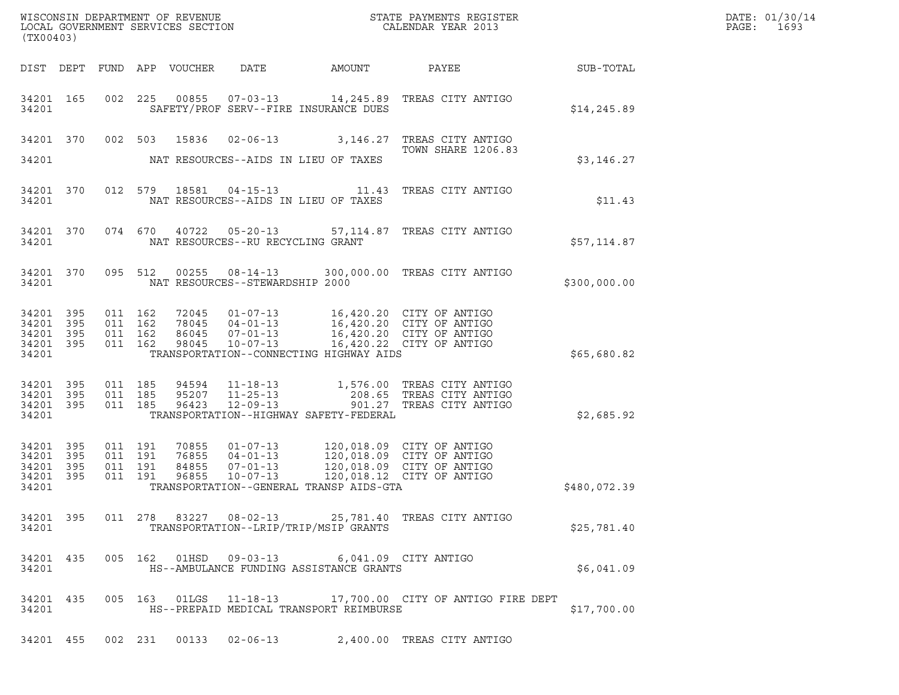| (TX00403)                                                 |           |                    |                    |                                  |                                                                      |                                                                                        |                                                                                                                                                  |              | DATE: 01/30/14<br>PAGE:<br>1693 |
|-----------------------------------------------------------|-----------|--------------------|--------------------|----------------------------------|----------------------------------------------------------------------|----------------------------------------------------------------------------------------|--------------------------------------------------------------------------------------------------------------------------------------------------|--------------|---------------------------------|
|                                                           |           |                    |                    | DIST DEPT FUND APP VOUCHER       | DATE                                                                 | AMOUNT                                                                                 | <b>PAYEE</b> FOR THE PAYEE                                                                                                                       | SUB-TOTAL    |                                 |
| 34201 165<br>34201                                        |           |                    |                    |                                  |                                                                      | SAFETY/PROF SERV--FIRE INSURANCE DUES                                                  | 002 225 00855 07-03-13 14,245.89 TREAS CITY ANTIGO                                                                                               | \$14, 245.89 |                                 |
|                                                           |           |                    |                    |                                  |                                                                      |                                                                                        | 34201 370 002 503 15836 02-06-13 3,146.27 TREAS CITY ANTIGO<br><b>TOWN SHARE 1206.83</b>                                                         |              |                                 |
| 34201                                                     |           |                    |                    |                                  |                                                                      | NAT RESOURCES--AIDS IN LIEU OF TAXES                                                   |                                                                                                                                                  | \$3,146.27   |                                 |
| 34201 370<br>34201                                        |           |                    |                    |                                  |                                                                      | NAT RESOURCES--AIDS IN LIEU OF TAXES                                                   | 012 579 18581 04-15-13 11.43 TREAS CITY ANTIGO                                                                                                   | \$11.43      |                                 |
| 34201 370<br>34201                                        |           |                    |                    |                                  | NAT RESOURCES--RU RECYCLING GRANT                                    |                                                                                        | 074 670 40722 05-20-13 57,114.87 TREAS CITY ANTIGO                                                                                               | \$57,114.87  |                                 |
| 34201 370<br>34201                                        |           |                    |                    |                                  | NAT RESOURCES--STEWARDSHIP 2000                                      |                                                                                        | 095 512 00255 08-14-13 300,000.00 TREAS CITY ANTIGO                                                                                              | \$300,000.00 |                                 |
| 34201 395<br>34201 395<br>34201 395<br>34201 395<br>34201 |           | 011 162<br>011 162 | 011 162<br>011 162 | 72045<br>78045<br>86045<br>98045 |                                                                      | TRANSPORTATION--CONNECTING HIGHWAY AIDS                                                | 01-07-13 16,420.20 CITY OF ANTIGO<br>04-01-13 16,420.20 CITY OF ANTIGO<br>07-01-13 16,420.20 CITY OF ANTIGO<br>10-07-13 16,420.22 CITY OF ANTIGO | \$65,680.82  |                                 |
| 34201 395<br>34201 395<br>34201 395<br>34201              |           | 011 185            | 011 185<br>011 185 | 94594<br>95207<br>96423          | $12 - 09 - 13$                                                       | TRANSPORTATION--HIGHWAY SAFETY-FEDERAL                                                 | 11-18-13 1,576.00 TREAS CITY ANTIGO<br>11-25-13 208.65 TREAS CITY ANTIGO<br>12-09-13 901.27 TREAS CITY ANTIGO<br>901.27 TREAS CITY ANTIGO        | \$2,685.92   |                                 |
| 34201 395<br>34201 395<br>34201 395<br>34201 395<br>34201 |           | 011 191<br>011 191 | 011 191<br>011 191 | 70855<br>76855<br>84855<br>96855 | $01 - 07 - 13$<br>$04 - 01 - 13$<br>$07 - 01 - 13$<br>$10 - 07 - 13$ | 120,018.09 CITY OF ANTIGO<br>TRANSPORTATION--GENERAL TRANSP AIDS-GTA                   | 120,018.09 CITY OF ANTIGO<br>120,018.09 CITY OF ANTIGO<br>120,018.12 CITY OF ANTIGO                                                              | \$480,072.39 |                                 |
| 34201                                                     |           |                    |                    |                                  |                                                                      | TRANSPORTATION--LRIP/TRIP/MSIP GRANTS                                                  | 34201 395 011 278 83227 08-02-13 25,781.40 TREAS CITY ANTIGO                                                                                     | \$25,781.40  |                                 |
| 34201                                                     | 34201 435 |                    |                    |                                  |                                                                      | 005 162 01HSD 09-03-13 6,041.09 CITY ANTIGO<br>HS--AMBULANCE FUNDING ASSISTANCE GRANTS |                                                                                                                                                  | \$6,041.09   |                                 |
| 34201                                                     | 34201 435 |                    |                    |                                  |                                                                      | HS--PREPAID MEDICAL TRANSPORT REIMBURSE                                                | 005 163 01LGS 11-18-13 17,700.00 CITY OF ANTIGO FIRE DEPT                                                                                        | \$17,700.00  |                                 |
|                                                           |           |                    |                    |                                  |                                                                      |                                                                                        | 34201 455 002 231 00133 02-06-13 2,400.00 TREAS CITY ANTIGO                                                                                      |              |                                 |